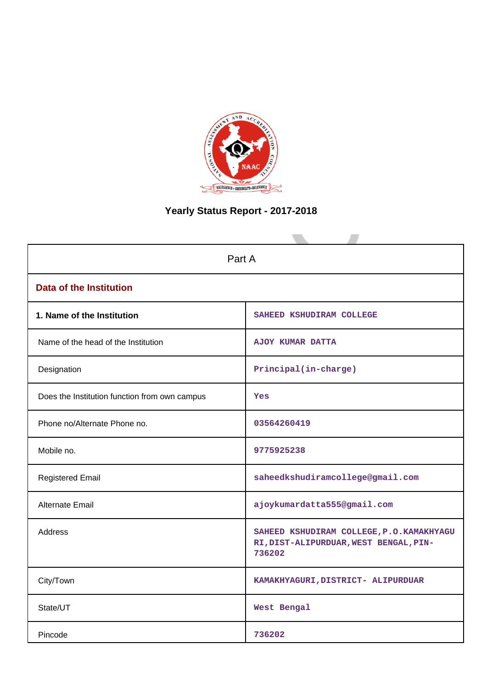

# **Yearly Status Report - 2017-2018**

| Part A                                        |                                                                                              |  |  |  |  |  |  |
|-----------------------------------------------|----------------------------------------------------------------------------------------------|--|--|--|--|--|--|
|                                               |                                                                                              |  |  |  |  |  |  |
| <b>Data of the Institution</b>                |                                                                                              |  |  |  |  |  |  |
| 1. Name of the Institution                    | SAHEED KSHUDIRAM COLLEGE                                                                     |  |  |  |  |  |  |
| Name of the head of the Institution           | <b>AJOY KUMAR DATTA</b>                                                                      |  |  |  |  |  |  |
| Designation                                   | Principal(in-charge)                                                                         |  |  |  |  |  |  |
| Does the Institution function from own campus | Yes                                                                                          |  |  |  |  |  |  |
| Phone no/Alternate Phone no.                  | 03564260419                                                                                  |  |  |  |  |  |  |
| Mobile no.                                    | 9775925238                                                                                   |  |  |  |  |  |  |
| <b>Registered Email</b>                       | saheedkshudiramcollege@gmail.com                                                             |  |  |  |  |  |  |
| <b>Alternate Email</b>                        | ajoykumardatta555@gmail.com                                                                  |  |  |  |  |  |  |
| <b>Address</b>                                | SAHEED KSHUDIRAM COLLEGE, P.O.KAMAKHYAGU<br>RI, DIST-ALIPURDUAR, WEST BENGAL, PIN-<br>736202 |  |  |  |  |  |  |
| City/Town                                     | KAMAKHYAGURI, DISTRICT- ALIPURDUAR                                                           |  |  |  |  |  |  |
| State/UT                                      | West Bengal                                                                                  |  |  |  |  |  |  |
| Pincode                                       | 736202                                                                                       |  |  |  |  |  |  |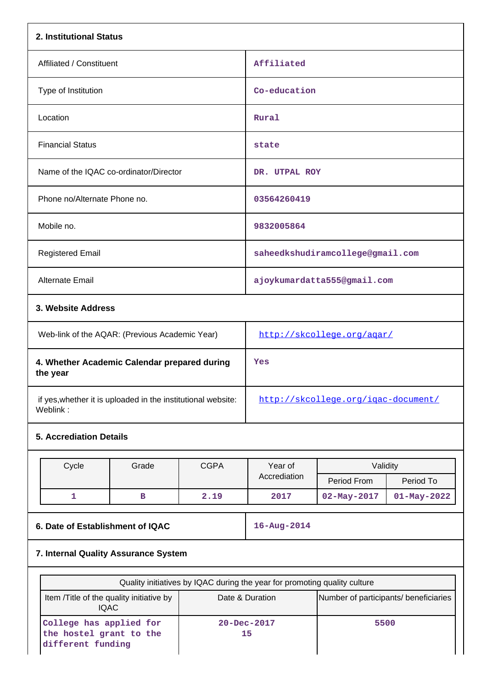| 2. Institutional Status                                                  |                                                                           |             |                                     |                                       |                   |  |  |
|--------------------------------------------------------------------------|---------------------------------------------------------------------------|-------------|-------------------------------------|---------------------------------------|-------------------|--|--|
| Affiliated / Constituent                                                 |                                                                           |             | Affiliated                          |                                       |                   |  |  |
| Type of Institution                                                      |                                                                           |             | Co-education                        |                                       |                   |  |  |
| Location                                                                 |                                                                           |             | Rural                               |                                       |                   |  |  |
| <b>Financial Status</b>                                                  |                                                                           |             | state                               |                                       |                   |  |  |
| Name of the IQAC co-ordinator/Director                                   |                                                                           |             | DR. UTPAL ROY                       |                                       |                   |  |  |
| Phone no/Alternate Phone no.                                             |                                                                           |             | 03564260419                         |                                       |                   |  |  |
| Mobile no.                                                               |                                                                           |             | 9832005864                          |                                       |                   |  |  |
| <b>Registered Email</b>                                                  |                                                                           |             |                                     | saheedkshudiramcollege@gmail.com      |                   |  |  |
| Alternate Email                                                          |                                                                           |             |                                     | ajoykumardatta555@gmail.com           |                   |  |  |
| 3. Website Address                                                       |                                                                           |             |                                     |                                       |                   |  |  |
| Web-link of the AQAR: (Previous Academic Year)                           |                                                                           |             | http://skcollege.org/agar/          |                                       |                   |  |  |
| 4. Whether Academic Calendar prepared during<br>the year                 |                                                                           |             | Yes                                 |                                       |                   |  |  |
| if yes, whether it is uploaded in the institutional website:<br>Weblink: |                                                                           |             | http://skcollege.org/igac-document/ |                                       |                   |  |  |
| <b>5. Accrediation Details</b>                                           |                                                                           |             |                                     |                                       |                   |  |  |
| Cycle                                                                    | Grade                                                                     | <b>CGPA</b> | Year of                             | Validity                              |                   |  |  |
|                                                                          |                                                                           |             | Accrediation                        | Period From                           | Period To         |  |  |
| 1                                                                        | $\mathbf B$                                                               | 2.19        | 2017                                | 02-May-2017                           | $01 - May - 2022$ |  |  |
| 6. Date of Establishment of IQAC                                         |                                                                           |             | 16-Aug-2014                         |                                       |                   |  |  |
| 7. Internal Quality Assurance System                                     |                                                                           |             |                                     |                                       |                   |  |  |
|                                                                          | Quality initiatives by IQAC during the year for promoting quality culture |             |                                     |                                       |                   |  |  |
| Item /Title of the quality initiative by<br><b>IQAC</b>                  |                                                                           |             | Date & Duration                     | Number of participants/ beneficiaries |                   |  |  |
| College has applied for<br>the hostel grant to the<br>different funding  |                                                                           |             | 20-Dec-2017<br>5500<br>15           |                                       |                   |  |  |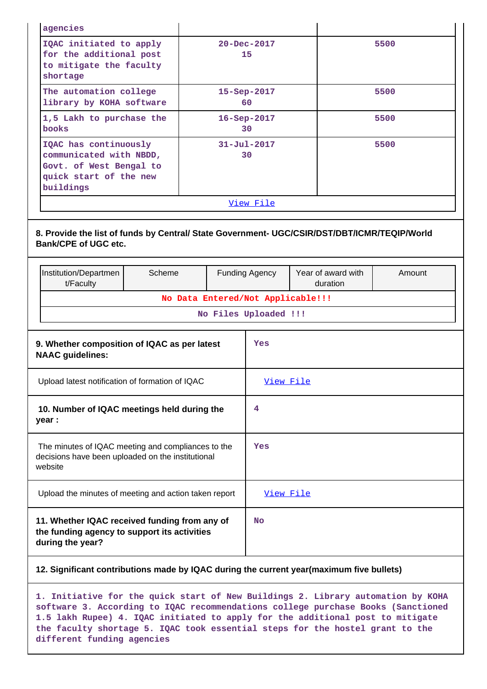| agencies                                                                                                           |        |  |  |                                                            |                                                                                                                    |        |  |
|--------------------------------------------------------------------------------------------------------------------|--------|--|--|------------------------------------------------------------|--------------------------------------------------------------------------------------------------------------------|--------|--|
| IQAC initiated to apply<br>for the additional post<br>to mitigate the faculty<br>shortage                          |        |  |  | 20-Dec-2017<br>15                                          |                                                                                                                    | 5500   |  |
| The automation college<br>library by KOHA software                                                                 |        |  |  | 15-Sep-2017<br>60                                          |                                                                                                                    | 5500   |  |
| 1,5 Lakh to purchase the<br><b>books</b>                                                                           |        |  |  | 16-Sep-2017<br>30                                          |                                                                                                                    | 5500   |  |
| IQAC has continuously<br>communicated with NBDD,<br>Govt. of West Bengal to<br>quick start of the new<br>buildings |        |  |  | $31 - Jul - 2017$<br>30                                    |                                                                                                                    | 5500   |  |
|                                                                                                                    |        |  |  | View File                                                  |                                                                                                                    |        |  |
| <b>Bank/CPE of UGC etc.</b><br>Institution/Departmen                                                               | Scheme |  |  | <b>Funding Agency</b>                                      | 8. Provide the list of funds by Central/ State Government- UGC/CSIR/DST/DBT/ICMR/TEQIP/World<br>Year of award with | Amount |  |
| t/Faculty                                                                                                          |        |  |  |                                                            | duration                                                                                                           |        |  |
|                                                                                                                    |        |  |  | No Data Entered/Not Applicable!!!<br>No Files Uploaded !!! |                                                                                                                    |        |  |
|                                                                                                                    |        |  |  |                                                            |                                                                                                                    |        |  |
| 9. Whether composition of IQAC as per latest<br><b>NAAC guidelines:</b>                                            |        |  |  | Yes                                                        |                                                                                                                    |        |  |
| Upload latest notification of formation of IQAC                                                                    |        |  |  | View File                                                  |                                                                                                                    |        |  |
| 10. Number of IQAC meetings held during the<br>year :                                                              |        |  |  | 4                                                          |                                                                                                                    |        |  |
| The minutes of IQAC meeting and compliances to the<br>decisions have been uploaded on the institutional<br>website |        |  |  | Yes                                                        |                                                                                                                    |        |  |
| Upload the minutes of meeting and action taken report                                                              |        |  |  | View File                                                  |                                                                                                                    |        |  |
| 11. Whether IQAC received funding from any of<br>the funding agency to support its activities<br>during the year?  |        |  |  |                                                            |                                                                                                                    |        |  |
|                                                                                                                    |        |  |  |                                                            | 12. Significant contributions made by IQAC during the current year(maximum five bullets)                           |        |  |

**1. Initiative for the quick start of New Buildings 2. Library automation by KOHA software 3. According to IQAC recommendations college purchase Books (Sanctioned 1.5 lakh Rupee) 4. IQAC initiated to apply for the additional post to mitigate the faculty shortage 5. IQAC took essential steps for the hostel grant to the different funding agencies**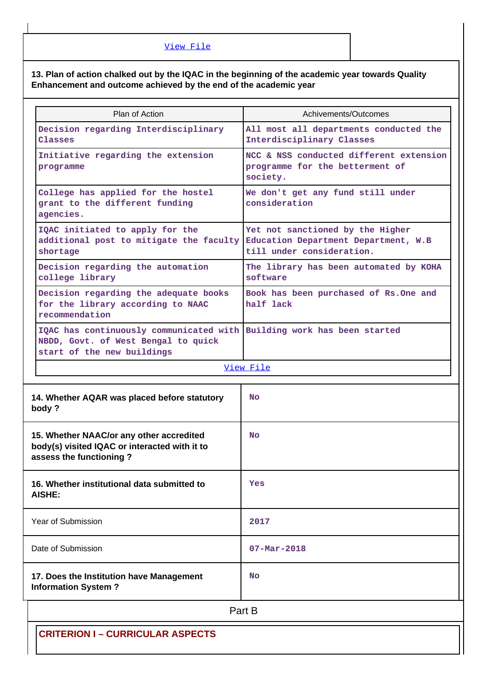# **13. Plan of action chalked out by the IQAC in the beginning of the academic year towards Quality Enhancement and outcome achieved by the end of the academic year**

| Plan of Action                                                                                                                              | Achivements/Outcomes                                                                                  |  |  |  |  |  |
|---------------------------------------------------------------------------------------------------------------------------------------------|-------------------------------------------------------------------------------------------------------|--|--|--|--|--|
| Decision regarding Interdisciplinary<br>Classes                                                                                             | All most all departments conducted the<br>Interdisciplinary Classes                                   |  |  |  |  |  |
| Initiative regarding the extension<br>programme                                                                                             | NCC & NSS conducted different extension<br>programme for the betterment of<br>society.                |  |  |  |  |  |
| College has applied for the hostel<br>grant to the different funding<br>agencies.                                                           | We don't get any fund still under<br>consideration                                                    |  |  |  |  |  |
| IQAC initiated to apply for the<br>additional post to mitigate the faculty<br>shortage                                                      | Yet not sanctioned by the Higher<br>Education Department Department, W.B<br>till under consideration. |  |  |  |  |  |
| Decision regarding the automation<br>college library                                                                                        | The library has been automated by KOHA<br>software                                                    |  |  |  |  |  |
| Decision regarding the adequate books<br>for the library according to NAAC<br>recommendation                                                | Book has been purchased of Rs.One and<br>half lack                                                    |  |  |  |  |  |
| IQAC has continuously communicated with Building work has been started<br>NBDD, Govt. of West Bengal to quick<br>start of the new buildings |                                                                                                       |  |  |  |  |  |
|                                                                                                                                             | View File                                                                                             |  |  |  |  |  |
| 14. Whether AQAR was placed before statutory<br>body?                                                                                       | No                                                                                                    |  |  |  |  |  |
| 15. Whether NAAC/or any other accredited<br>body(s) visited IQAC or interacted with it to<br>assess the functioning?                        | <b>No</b>                                                                                             |  |  |  |  |  |
| 16. Whether institutional data submitted to<br>AISHE:                                                                                       | Yes                                                                                                   |  |  |  |  |  |
| Year of Submission                                                                                                                          | 2017                                                                                                  |  |  |  |  |  |
| Date of Submission                                                                                                                          | $07 - Mar - 2018$                                                                                     |  |  |  |  |  |
| 17. Does the Institution have Management<br><b>Information System?</b>                                                                      | No                                                                                                    |  |  |  |  |  |
| Part B                                                                                                                                      |                                                                                                       |  |  |  |  |  |
| <b>CRITERION I-CURRICULAR ASPECTS</b>                                                                                                       |                                                                                                       |  |  |  |  |  |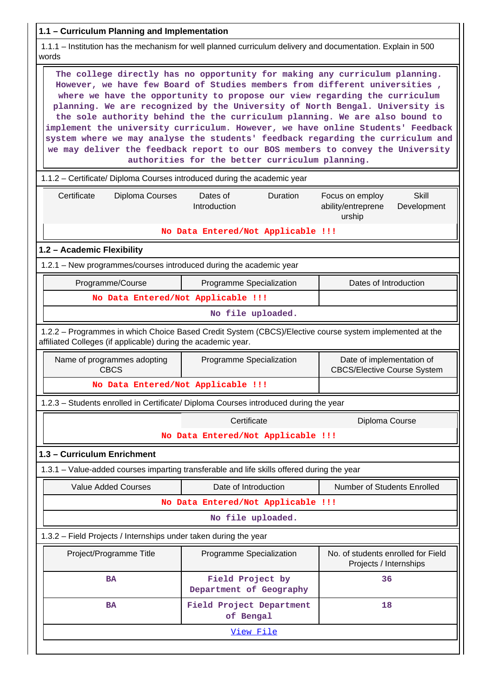| 1.1 - Curriculum Planning and Implementation                                                                                                                                                                                                                                                                                                                                                                                                                                                                                                                                                                                                                                                                      |                                             |                                                                                |  |  |  |  |  |  |
|-------------------------------------------------------------------------------------------------------------------------------------------------------------------------------------------------------------------------------------------------------------------------------------------------------------------------------------------------------------------------------------------------------------------------------------------------------------------------------------------------------------------------------------------------------------------------------------------------------------------------------------------------------------------------------------------------------------------|---------------------------------------------|--------------------------------------------------------------------------------|--|--|--|--|--|--|
| 1.1.1 – Institution has the mechanism for well planned curriculum delivery and documentation. Explain in 500<br>words                                                                                                                                                                                                                                                                                                                                                                                                                                                                                                                                                                                             |                                             |                                                                                |  |  |  |  |  |  |
| The college directly has no opportunity for making any curriculum planning.<br>However, we have few Board of Studies members from different universities,<br>where we have the opportunity to propose our view regarding the curriculum<br>planning. We are recognized by the University of North Bengal. University is<br>the sole authority behind the the curriculum planning. We are also bound to<br>implement the university curriculum. However, we have online Students' Feedback<br>system where we may analyse the students' feedback regarding the curriculum and<br>we may deliver the feedback report to our BOS members to convey the University<br>authorities for the better curriculum planning. |                                             |                                                                                |  |  |  |  |  |  |
| 1.1.2 - Certificate/ Diploma Courses introduced during the academic year                                                                                                                                                                                                                                                                                                                                                                                                                                                                                                                                                                                                                                          |                                             |                                                                                |  |  |  |  |  |  |
| Certificate<br>Diploma Courses                                                                                                                                                                                                                                                                                                                                                                                                                                                                                                                                                                                                                                                                                    | Dates of<br><b>Duration</b><br>Introduction | <b>Skill</b><br>Focus on employ<br>ability/entreprene<br>Development<br>urship |  |  |  |  |  |  |
|                                                                                                                                                                                                                                                                                                                                                                                                                                                                                                                                                                                                                                                                                                                   | No Data Entered/Not Applicable !!!          |                                                                                |  |  |  |  |  |  |
| 1.2 - Academic Flexibility                                                                                                                                                                                                                                                                                                                                                                                                                                                                                                                                                                                                                                                                                        |                                             |                                                                                |  |  |  |  |  |  |
| 1.2.1 – New programmes/courses introduced during the academic year                                                                                                                                                                                                                                                                                                                                                                                                                                                                                                                                                                                                                                                |                                             |                                                                                |  |  |  |  |  |  |
| Programme/Course                                                                                                                                                                                                                                                                                                                                                                                                                                                                                                                                                                                                                                                                                                  | Programme Specialization                    | Dates of Introduction                                                          |  |  |  |  |  |  |
| No Data Entered/Not Applicable !!!                                                                                                                                                                                                                                                                                                                                                                                                                                                                                                                                                                                                                                                                                |                                             |                                                                                |  |  |  |  |  |  |
|                                                                                                                                                                                                                                                                                                                                                                                                                                                                                                                                                                                                                                                                                                                   | No file uploaded.                           |                                                                                |  |  |  |  |  |  |
| 1.2.2 - Programmes in which Choice Based Credit System (CBCS)/Elective course system implemented at the<br>affiliated Colleges (if applicable) during the academic year.                                                                                                                                                                                                                                                                                                                                                                                                                                                                                                                                          |                                             |                                                                                |  |  |  |  |  |  |
| Name of programmes adopting<br><b>CBCS</b>                                                                                                                                                                                                                                                                                                                                                                                                                                                                                                                                                                                                                                                                        | Programme Specialization                    | Date of implementation of<br><b>CBCS/Elective Course System</b>                |  |  |  |  |  |  |
| No Data Entered/Not Applicable !!!                                                                                                                                                                                                                                                                                                                                                                                                                                                                                                                                                                                                                                                                                |                                             |                                                                                |  |  |  |  |  |  |
| 1.2.3 - Students enrolled in Certificate/ Diploma Courses introduced during the year                                                                                                                                                                                                                                                                                                                                                                                                                                                                                                                                                                                                                              |                                             |                                                                                |  |  |  |  |  |  |
|                                                                                                                                                                                                                                                                                                                                                                                                                                                                                                                                                                                                                                                                                                                   | Certificate                                 | Diploma Course                                                                 |  |  |  |  |  |  |
|                                                                                                                                                                                                                                                                                                                                                                                                                                                                                                                                                                                                                                                                                                                   | No Data Entered/Not Applicable !!!          |                                                                                |  |  |  |  |  |  |
| 1.3 - Curriculum Enrichment                                                                                                                                                                                                                                                                                                                                                                                                                                                                                                                                                                                                                                                                                       |                                             |                                                                                |  |  |  |  |  |  |
| 1.3.1 – Value-added courses imparting transferable and life skills offered during the year                                                                                                                                                                                                                                                                                                                                                                                                                                                                                                                                                                                                                        |                                             |                                                                                |  |  |  |  |  |  |
| <b>Value Added Courses</b>                                                                                                                                                                                                                                                                                                                                                                                                                                                                                                                                                                                                                                                                                        | Date of Introduction                        | Number of Students Enrolled                                                    |  |  |  |  |  |  |
|                                                                                                                                                                                                                                                                                                                                                                                                                                                                                                                                                                                                                                                                                                                   | No Data Entered/Not Applicable !!!          |                                                                                |  |  |  |  |  |  |
|                                                                                                                                                                                                                                                                                                                                                                                                                                                                                                                                                                                                                                                                                                                   | No file uploaded.                           |                                                                                |  |  |  |  |  |  |
| 1.3.2 - Field Projects / Internships under taken during the year                                                                                                                                                                                                                                                                                                                                                                                                                                                                                                                                                                                                                                                  |                                             |                                                                                |  |  |  |  |  |  |
| Project/Programme Title                                                                                                                                                                                                                                                                                                                                                                                                                                                                                                                                                                                                                                                                                           | Programme Specialization                    | No. of students enrolled for Field<br>Projects / Internships                   |  |  |  |  |  |  |
| <b>BA</b>                                                                                                                                                                                                                                                                                                                                                                                                                                                                                                                                                                                                                                                                                                         | Field Project by<br>Department of Geography | 36                                                                             |  |  |  |  |  |  |
| <b>BA</b>                                                                                                                                                                                                                                                                                                                                                                                                                                                                                                                                                                                                                                                                                                         | Field Project Department<br>of Bengal       | 18                                                                             |  |  |  |  |  |  |
|                                                                                                                                                                                                                                                                                                                                                                                                                                                                                                                                                                                                                                                                                                                   | <u>View File</u>                            |                                                                                |  |  |  |  |  |  |
|                                                                                                                                                                                                                                                                                                                                                                                                                                                                                                                                                                                                                                                                                                                   |                                             |                                                                                |  |  |  |  |  |  |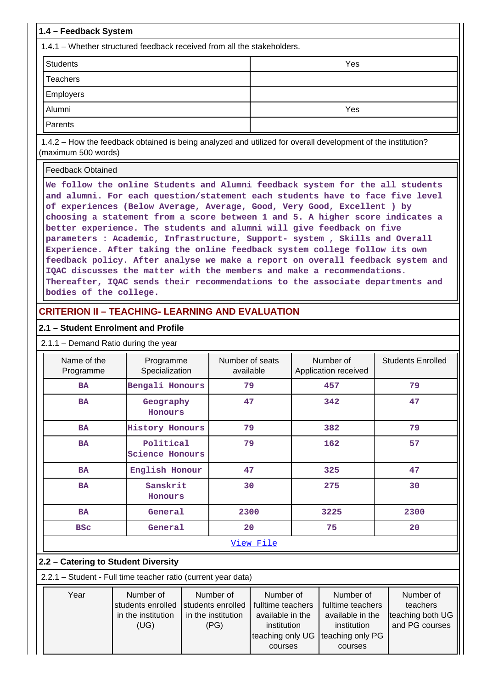| 1.4 - Feedback System                                                                                                                                                                                                                                                                                                                                                                                                                                                                                                                                                                                                                             |     |  |  |  |  |  |  |  |
|---------------------------------------------------------------------------------------------------------------------------------------------------------------------------------------------------------------------------------------------------------------------------------------------------------------------------------------------------------------------------------------------------------------------------------------------------------------------------------------------------------------------------------------------------------------------------------------------------------------------------------------------------|-----|--|--|--|--|--|--|--|
| 1.4.1 – Whether structured feedback received from all the stakeholders.                                                                                                                                                                                                                                                                                                                                                                                                                                                                                                                                                                           |     |  |  |  |  |  |  |  |
| <b>Students</b><br>Yes                                                                                                                                                                                                                                                                                                                                                                                                                                                                                                                                                                                                                            |     |  |  |  |  |  |  |  |
| Teachers                                                                                                                                                                                                                                                                                                                                                                                                                                                                                                                                                                                                                                          |     |  |  |  |  |  |  |  |
| <b>Employers</b>                                                                                                                                                                                                                                                                                                                                                                                                                                                                                                                                                                                                                                  |     |  |  |  |  |  |  |  |
| Alumni                                                                                                                                                                                                                                                                                                                                                                                                                                                                                                                                                                                                                                            | Yes |  |  |  |  |  |  |  |
| Parents                                                                                                                                                                                                                                                                                                                                                                                                                                                                                                                                                                                                                                           |     |  |  |  |  |  |  |  |
| 1.4.2 – How the feedback obtained is being analyzed and utilized for overall development of the institution?<br>(maximum 500 words)                                                                                                                                                                                                                                                                                                                                                                                                                                                                                                               |     |  |  |  |  |  |  |  |
| Feedback Obtained                                                                                                                                                                                                                                                                                                                                                                                                                                                                                                                                                                                                                                 |     |  |  |  |  |  |  |  |
| We follow the online Students and Alumni feedback system for the all students<br>and alumni. For each question/statement each students have to face five level<br>of experiences (Below Average, Average, Good, Very Good, Excellent ) by<br>choosing a statement from a score between 1 and 5. A higher score indicates a<br>better experience. The students and alumni will give feedback on five<br>parameters : Academic, Infrastructure, Support- system, Skills and Overall<br>Experience. After taking the online feedback system college follow its own<br>feedback policy. After analyse we make a report on overall feedback system and |     |  |  |  |  |  |  |  |

**Thereafter, IQAC sends their recommendations to the associate departments and bodies of the college.**

# **CRITERION II – TEACHING- LEARNING AND EVALUATION**

#### **2.1 – Student Enrolment and Profile**

2.1.1 – Demand Ratio during the year

| Name of the<br>Programme | Programme<br>Specialization                 | Number of seats<br>available | Number of<br>Application received | <b>Students Enrolled</b> |  |  |  |  |  |
|--------------------------|---------------------------------------------|------------------------------|-----------------------------------|--------------------------|--|--|--|--|--|
| <b>BA</b>                | Bengali Honours                             | 79                           | 457                               | 79                       |  |  |  |  |  |
| <b>BA</b>                | Geography<br>Honours                        | 47                           | 342                               | 47                       |  |  |  |  |  |
| <b>BA</b>                | <b>History Honours</b>                      | 79                           | 382                               | 79                       |  |  |  |  |  |
| <b>BA</b>                | Political<br><b>Science Honours</b>         | 79                           | 162                               | 57                       |  |  |  |  |  |
| <b>BA</b>                | English Honour                              | 47                           | 325                               | 47                       |  |  |  |  |  |
| <b>BA</b>                | Sanskrit<br>Honours<br>General<br><b>BA</b> |                              | 275                               | 30                       |  |  |  |  |  |
|                          |                                             |                              | 3225                              | 2300                     |  |  |  |  |  |
| <b>BSC</b>               | General                                     | 20                           | 75                                | 20                       |  |  |  |  |  |
|                          | View File                                   |                              |                                   |                          |  |  |  |  |  |

### **2.2 – Catering to Student Diversity**

2.2.1 – Student - Full time teacher ratio (current year data)

| Year | Number of                           | Number of          | Number of                         | Number of         | Number of        |
|------|-------------------------------------|--------------------|-----------------------------------|-------------------|------------------|
|      | students enrolled Students enrolled |                    | fulltime teachers                 | fulltime teachers | teachers         |
|      | in the institution                  | in the institution | available in the                  | available in the  | teaching both UG |
|      | (UG)                                |                    | institution                       | institution       | and PG courses   |
|      |                                     |                    | teaching only UG teaching only PG |                   |                  |
|      |                                     |                    | courses                           | courses           |                  |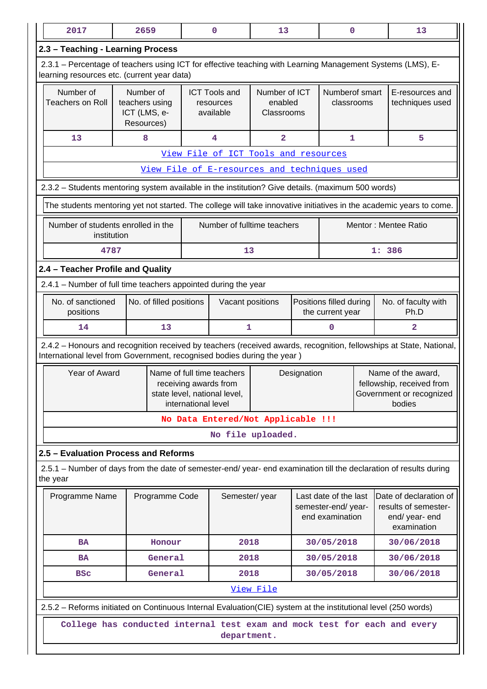| 2017                                                                                                                                                      | 2659                           |                         |                                                                                                            | $\mathbf 0$                                  | 13                      |  | $\mathbf 0$                                                    |                                                                                       | 13                                                                                                                  |  |
|-----------------------------------------------------------------------------------------------------------------------------------------------------------|--------------------------------|-------------------------|------------------------------------------------------------------------------------------------------------|----------------------------------------------|-------------------------|--|----------------------------------------------------------------|---------------------------------------------------------------------------------------|---------------------------------------------------------------------------------------------------------------------|--|
| 2.3 - Teaching - Learning Process                                                                                                                         |                                |                         |                                                                                                            |                                              |                         |  |                                                                |                                                                                       |                                                                                                                     |  |
| 2.3.1 – Percentage of teachers using ICT for effective teaching with Learning Management Systems (LMS), E-<br>learning resources etc. (current year data) |                                |                         |                                                                                                            |                                              |                         |  |                                                                |                                                                                       |                                                                                                                     |  |
| Number of                                                                                                                                                 | Number of                      |                         |                                                                                                            | <b>ICT Tools and</b>                         | Number of ICT           |  | Numberof smart                                                 |                                                                                       | E-resources and                                                                                                     |  |
| <b>Teachers on Roll</b>                                                                                                                                   | teachers using<br>ICT (LMS, e- |                         |                                                                                                            | resources<br>available                       | enabled<br>Classrooms   |  | classrooms                                                     |                                                                                       | techniques used                                                                                                     |  |
|                                                                                                                                                           | Resources)                     |                         |                                                                                                            |                                              |                         |  |                                                                |                                                                                       |                                                                                                                     |  |
| 13                                                                                                                                                        | 8                              |                         |                                                                                                            | 4                                            | $\overline{\mathbf{2}}$ |  | 1                                                              |                                                                                       | 5                                                                                                                   |  |
|                                                                                                                                                           |                                |                         |                                                                                                            | View File of ICT Tools and resources         |                         |  |                                                                |                                                                                       |                                                                                                                     |  |
|                                                                                                                                                           |                                |                         |                                                                                                            | View File of E-resources and techniques used |                         |  |                                                                |                                                                                       |                                                                                                                     |  |
| 2.3.2 - Students mentoring system available in the institution? Give details. (maximum 500 words)                                                         |                                |                         |                                                                                                            |                                              |                         |  |                                                                |                                                                                       |                                                                                                                     |  |
|                                                                                                                                                           |                                |                         |                                                                                                            |                                              |                         |  |                                                                |                                                                                       | The students mentoring yet not started. The college will take innovative initiatives in the academic years to come. |  |
| Number of students enrolled in the<br>institution                                                                                                         |                                |                         |                                                                                                            | Number of fulltime teachers                  |                         |  |                                                                |                                                                                       | Mentor: Mentee Ratio                                                                                                |  |
| 4787                                                                                                                                                      |                                |                         |                                                                                                            | 13                                           |                         |  |                                                                |                                                                                       | 1: 386                                                                                                              |  |
| 2.4 - Teacher Profile and Quality                                                                                                                         |                                |                         |                                                                                                            |                                              |                         |  |                                                                |                                                                                       |                                                                                                                     |  |
| 2.4.1 - Number of full time teachers appointed during the year                                                                                            |                                |                         |                                                                                                            |                                              |                         |  |                                                                |                                                                                       |                                                                                                                     |  |
| No. of sanctioned<br>positions                                                                                                                            |                                | No. of filled positions |                                                                                                            | Vacant positions                             |                         |  | Positions filled during<br>the current year                    |                                                                                       | No. of faculty with<br>Ph.D                                                                                         |  |
| 14                                                                                                                                                        |                                | 13                      |                                                                                                            | $\mathbf{1}$                                 |                         |  | 0                                                              |                                                                                       | $\overline{2}$                                                                                                      |  |
| International level from Government, recognised bodies during the year)                                                                                   |                                |                         |                                                                                                            |                                              |                         |  |                                                                |                                                                                       | 2.4.2 - Honours and recognition received by teachers (received awards, recognition, fellowships at State, National, |  |
| Year of Award                                                                                                                                             |                                |                         | Name of full time teachers<br>receiving awards from<br>state level, national level,<br>international level |                                              | Designation             |  |                                                                | Name of the award,<br>fellowship, received from<br>Government or recognized<br>bodies |                                                                                                                     |  |
|                                                                                                                                                           |                                |                         |                                                                                                            | No Data Entered/Not Applicable !!!           |                         |  |                                                                |                                                                                       |                                                                                                                     |  |
|                                                                                                                                                           |                                |                         |                                                                                                            |                                              | No file uploaded.       |  |                                                                |                                                                                       |                                                                                                                     |  |
| 2.5 - Evaluation Process and Reforms                                                                                                                      |                                |                         |                                                                                                            |                                              |                         |  |                                                                |                                                                                       |                                                                                                                     |  |
| 2.5.1 – Number of days from the date of semester-end/ year- end examination till the declaration of results during<br>the year                            |                                |                         |                                                                                                            |                                              |                         |  |                                                                |                                                                                       |                                                                                                                     |  |
| Programme Name                                                                                                                                            |                                | Programme Code          |                                                                                                            | Semester/year                                |                         |  | Last date of the last<br>semester-end/year-<br>end examination |                                                                                       | Date of declaration of<br>results of semester-<br>end/ year- end<br>examination                                     |  |
| <b>BA</b>                                                                                                                                                 |                                | Honour                  |                                                                                                            | 2018                                         |                         |  | 30/05/2018                                                     |                                                                                       | 30/06/2018                                                                                                          |  |
| <b>BA</b>                                                                                                                                                 |                                | General                 |                                                                                                            | 2018                                         |                         |  | 30/05/2018                                                     |                                                                                       | 30/06/2018                                                                                                          |  |
| <b>BSC</b>                                                                                                                                                |                                | General                 |                                                                                                            | 2018                                         |                         |  | 30/05/2018                                                     |                                                                                       | 30/06/2018                                                                                                          |  |
|                                                                                                                                                           |                                |                         |                                                                                                            |                                              | View File               |  |                                                                |                                                                                       |                                                                                                                     |  |
| 2.5.2 – Reforms initiated on Continuous Internal Evaluation (CIE) system at the institutional level (250 words)                                           |                                |                         |                                                                                                            |                                              |                         |  |                                                                |                                                                                       |                                                                                                                     |  |
|                                                                                                                                                           |                                |                         |                                                                                                            | department.                                  |                         |  |                                                                |                                                                                       | College has conducted internal test exam and mock test for each and every                                           |  |
|                                                                                                                                                           |                                |                         |                                                                                                            |                                              |                         |  |                                                                |                                                                                       |                                                                                                                     |  |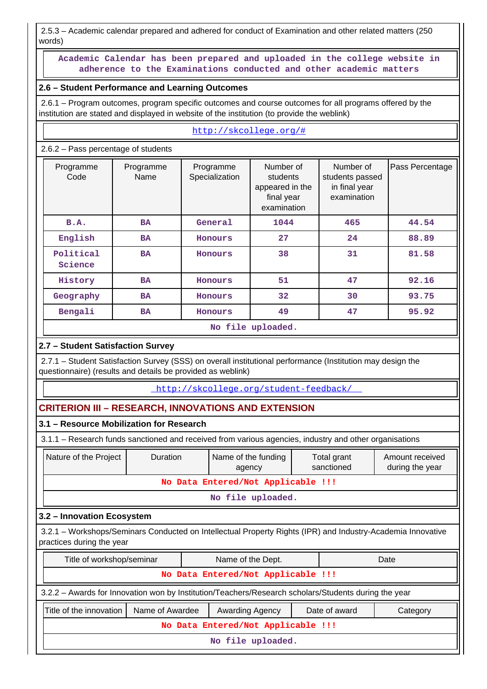2.5.3 – Academic calendar prepared and adhered for conduct of Examination and other related matters (250 words)

 **Academic Calendar has been prepared and uploaded in the college website in adherence to the Examinations conducted and other academic matters**

### **2.6 – Student Performance and Learning Outcomes**

 2.6.1 – Program outcomes, program specific outcomes and course outcomes for all programs offered by the institution are stated and displayed in website of the institution (to provide the weblink)

#### <http://skcollege.org/#> 2.6.2 – Pass percentage of students Programme Code Programme Name Programme **Specialization** Number of students appeared in the final year examination Number of students passed in final year examination Pass Percentage **B.A. BA General 1044 465 44.54 English BA Honours 27 24 88.89 Political Science BA Honours 38 31 81.58 History BA Honours 51 47 92.16 Geography BA Honours 32 30 93.75 Bengali BA Honours 49 47 95.92 No file uploaded.**

# **2.7 – Student Satisfaction Survey**

 2.7.1 – Student Satisfaction Survey (SSS) on overall institutional performance (Institution may design the questionnaire) (results and details be provided as weblink)

<http://skcollege.org/student-feedback/>

### **CRITERION III – RESEARCH, INNOVATIONS AND EXTENSION**

### **3.1 – Resource Mobilization for Research**

3.1.1 – Research funds sanctioned and received from various agencies, industry and other organisations

| Nature of the Project                                                                                                                    | <b>Duration</b> |  | Name of the funding<br>agency                                                                        | Amount received<br>during the year |  |      |  |  |  |  |
|------------------------------------------------------------------------------------------------------------------------------------------|-----------------|--|------------------------------------------------------------------------------------------------------|------------------------------------|--|------|--|--|--|--|
| No Data Entered/Not Applicable !!!                                                                                                       |                 |  |                                                                                                      |                                    |  |      |  |  |  |  |
|                                                                                                                                          |                 |  | No file uploaded.                                                                                    |                                    |  |      |  |  |  |  |
| 3.2 - Innovation Ecosystem                                                                                                               |                 |  |                                                                                                      |                                    |  |      |  |  |  |  |
| 3.2.1 - Workshops/Seminars Conducted on Intellectual Property Rights (IPR) and Industry-Academia Innovative<br>practices during the year |                 |  |                                                                                                      |                                    |  |      |  |  |  |  |
| Title of workshop/seminar                                                                                                                |                 |  | Name of the Dept.                                                                                    |                                    |  | Date |  |  |  |  |
|                                                                                                                                          |                 |  | No Data Entered/Not Applicable !!!                                                                   |                                    |  |      |  |  |  |  |
|                                                                                                                                          |                 |  | 3.2.2 - Awards for Innovation won by Institution/Teachers/Research scholars/Students during the year |                                    |  |      |  |  |  |  |
| Title of the innovation<br>Name of Awardee<br>Date of award<br><b>Awarding Agency</b><br>Category                                        |                 |  |                                                                                                      |                                    |  |      |  |  |  |  |
| No Data Entered/Not Applicable !!!                                                                                                       |                 |  |                                                                                                      |                                    |  |      |  |  |  |  |
|                                                                                                                                          |                 |  | No file uploaded.                                                                                    |                                    |  |      |  |  |  |  |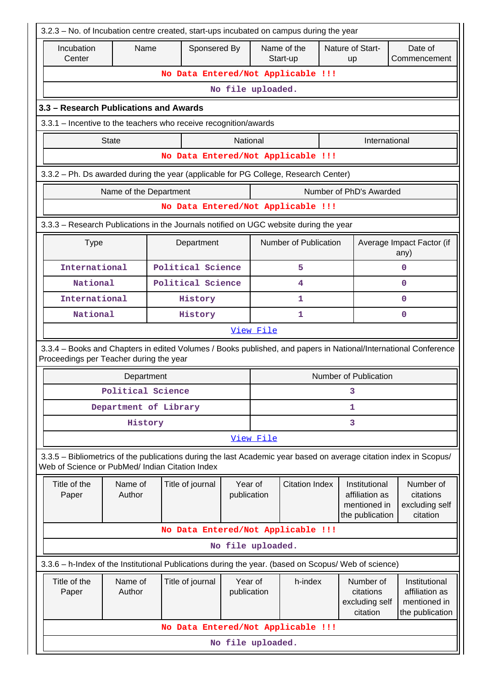| 3.2.3 - No. of Incubation centre created, start-ups incubated on campus during the year                                                                               |                                                      |                                    |                        |           |                       |         |                                                                    |                                                                    |  |  |
|-----------------------------------------------------------------------------------------------------------------------------------------------------------------------|------------------------------------------------------|------------------------------------|------------------------|-----------|-----------------------|---------|--------------------------------------------------------------------|--------------------------------------------------------------------|--|--|
| Incubation<br>Sponsered By<br>Name of the<br>Nature of Start-<br>Name<br>Date of<br>Center<br>Start-up<br>up                                                          |                                                      |                                    |                        |           |                       |         |                                                                    | Commencement                                                       |  |  |
|                                                                                                                                                                       | No Data Entered/Not Applicable !!!                   |                                    |                        |           |                       |         |                                                                    |                                                                    |  |  |
|                                                                                                                                                                       |                                                      |                                    | No file uploaded.      |           |                       |         |                                                                    |                                                                    |  |  |
| 3.3 – Research Publications and Awards                                                                                                                                |                                                      |                                    |                        |           |                       |         |                                                                    |                                                                    |  |  |
| 3.3.1 – Incentive to the teachers who receive recognition/awards                                                                                                      |                                                      |                                    |                        |           |                       |         |                                                                    |                                                                    |  |  |
| <b>State</b>                                                                                                                                                          |                                                      |                                    | National               |           |                       |         | International                                                      |                                                                    |  |  |
|                                                                                                                                                                       |                                                      | No Data Entered/Not Applicable !!! |                        |           |                       |         |                                                                    |                                                                    |  |  |
| 3.3.2 - Ph. Ds awarded during the year (applicable for PG College, Research Center)                                                                                   |                                                      |                                    |                        |           |                       |         |                                                                    |                                                                    |  |  |
|                                                                                                                                                                       | Name of the Department                               |                                    |                        |           |                       |         | Number of PhD's Awarded                                            |                                                                    |  |  |
|                                                                                                                                                                       |                                                      | No Data Entered/Not Applicable !!! |                        |           |                       |         |                                                                    |                                                                    |  |  |
| 3.3.3 – Research Publications in the Journals notified on UGC website during the year                                                                                 |                                                      |                                    |                        |           |                       |         |                                                                    |                                                                    |  |  |
| <b>Type</b>                                                                                                                                                           |                                                      | Department                         |                        |           | Number of Publication |         |                                                                    | Average Impact Factor (if<br>any)                                  |  |  |
| International                                                                                                                                                         |                                                      | Political Science                  |                        |           | 5                     |         |                                                                    | 0                                                                  |  |  |
| National                                                                                                                                                              |                                                      | Political Science                  |                        |           | 4                     |         |                                                                    | 0                                                                  |  |  |
| International                                                                                                                                                         |                                                      | History                            |                        |           | 1                     |         |                                                                    | 0                                                                  |  |  |
| National                                                                                                                                                              |                                                      | History                            |                        | 0<br>1    |                       |         |                                                                    |                                                                    |  |  |
|                                                                                                                                                                       |                                                      |                                    |                        | View File |                       |         |                                                                    |                                                                    |  |  |
| 3.3.4 – Books and Chapters in edited Volumes / Books published, and papers in National/International Conference<br>Proceedings per Teacher during the year            |                                                      |                                    |                        |           |                       |         |                                                                    |                                                                    |  |  |
|                                                                                                                                                                       | Department                                           |                                    |                        |           |                       |         | Number of Publication                                              |                                                                    |  |  |
|                                                                                                                                                                       | Political Science                                    |                                    |                        |           |                       |         | 3                                                                  |                                                                    |  |  |
|                                                                                                                                                                       | Department of Library                                |                                    |                        |           |                       |         | 1                                                                  |                                                                    |  |  |
|                                                                                                                                                                       | History                                              |                                    |                        |           |                       |         | 3                                                                  |                                                                    |  |  |
|                                                                                                                                                                       |                                                      |                                    |                        | View File |                       |         |                                                                    |                                                                    |  |  |
| 3.3.5 - Bibliometrics of the publications during the last Academic year based on average citation index in Scopus/<br>Web of Science or PubMed/ Indian Citation Index |                                                      |                                    |                        |           |                       |         |                                                                    |                                                                    |  |  |
| Title of the<br>Paper                                                                                                                                                 | Name of<br>Author                                    | Title of journal                   | Year of<br>publication |           | <b>Citation Index</b> |         | Institutional<br>affiliation as<br>mentioned in<br>the publication | Number of<br>citations<br>excluding self<br>citation               |  |  |
|                                                                                                                                                                       |                                                      | No Data Entered/Not Applicable !!! |                        |           |                       |         |                                                                    |                                                                    |  |  |
|                                                                                                                                                                       |                                                      |                                    | No file uploaded.      |           |                       |         |                                                                    |                                                                    |  |  |
| 3.3.6 - h-Index of the Institutional Publications during the year. (based on Scopus/ Web of science)                                                                  |                                                      |                                    |                        |           |                       |         |                                                                    |                                                                    |  |  |
| Title of the<br>Paper                                                                                                                                                 | Name of<br>Title of journal<br>Author<br>publication |                                    |                        |           |                       | h-index | Number of<br>citations<br>excluding self<br>citation               | Institutional<br>affiliation as<br>mentioned in<br>the publication |  |  |
|                                                                                                                                                                       |                                                      | No Data Entered/Not Applicable !!! |                        |           |                       |         |                                                                    |                                                                    |  |  |
|                                                                                                                                                                       |                                                      |                                    | No file uploaded.      |           |                       |         |                                                                    |                                                                    |  |  |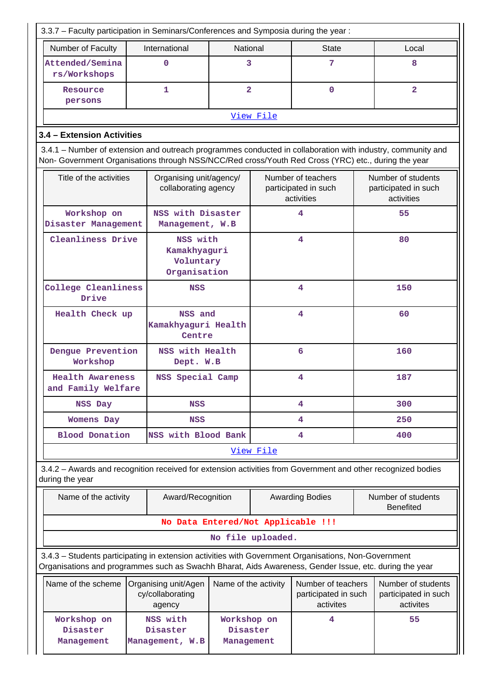| 3.3.7 - Faculty participation in Seminars/Conferences and Symposia during the year:                                                                                                                                |  |                                                       |                                       |                   |                                                          |     |                                                          |  |  |  |
|--------------------------------------------------------------------------------------------------------------------------------------------------------------------------------------------------------------------|--|-------------------------------------------------------|---------------------------------------|-------------------|----------------------------------------------------------|-----|----------------------------------------------------------|--|--|--|
| Number of Faculty                                                                                                                                                                                                  |  | International                                         | National                              |                   | <b>State</b>                                             |     | Local                                                    |  |  |  |
| Attended/Semina<br>rs/Workshops                                                                                                                                                                                    |  | $\mathbf 0$                                           | 3                                     |                   | 7                                                        |     | 8                                                        |  |  |  |
| Resource<br>persons                                                                                                                                                                                                |  | 1                                                     | $\overline{2}$                        |                   | $\mathbf 0$                                              |     | $\overline{2}$                                           |  |  |  |
|                                                                                                                                                                                                                    |  |                                                       |                                       | View File         |                                                          |     |                                                          |  |  |  |
| 3.4 - Extension Activities                                                                                                                                                                                         |  |                                                       |                                       |                   |                                                          |     |                                                          |  |  |  |
| 3.4.1 – Number of extension and outreach programmes conducted in collaboration with industry, community and<br>Non- Government Organisations through NSS/NCC/Red cross/Youth Red Cross (YRC) etc., during the year |  |                                                       |                                       |                   |                                                          |     |                                                          |  |  |  |
| Title of the activities                                                                                                                                                                                            |  | Organising unit/agency/<br>collaborating agency       |                                       |                   | Number of teachers<br>participated in such<br>activities |     | Number of students<br>participated in such<br>activities |  |  |  |
| Workshop on<br>Disaster Management                                                                                                                                                                                 |  | NSS with Disaster<br>Management, W.B                  |                                       |                   | 4                                                        |     | 55                                                       |  |  |  |
| Cleanliness Drive                                                                                                                                                                                                  |  | NSS with<br>Kamakhyaguri<br>Voluntary<br>Organisation |                                       |                   | 4                                                        | 80  |                                                          |  |  |  |
| College Cleanliness<br>Drive                                                                                                                                                                                       |  | <b>NSS</b>                                            |                                       |                   | 4                                                        |     | 150                                                      |  |  |  |
| Health Check up                                                                                                                                                                                                    |  | NSS and<br>Kamakhyaguri Health<br>Centre              |                                       | 4                 |                                                          | 60  |                                                          |  |  |  |
| Dengue Prevention<br>Workshop                                                                                                                                                                                      |  |                                                       | NSS with Health<br>Dept. W.B          |                   | 6                                                        |     | 160                                                      |  |  |  |
| <b>Health Awareness</b><br>and Family Welfare                                                                                                                                                                      |  | NSS Special Camp                                      |                                       |                   | 4                                                        |     | 187                                                      |  |  |  |
| NSS Day                                                                                                                                                                                                            |  | <b>NSS</b>                                            |                                       |                   | 4                                                        |     | 300                                                      |  |  |  |
| <b>Womens Day</b>                                                                                                                                                                                                  |  | <b>NSS</b>                                            |                                       |                   | 4                                                        | 250 |                                                          |  |  |  |
| <b>Blood Donation</b>                                                                                                                                                                                              |  | NSS with Blood Bank                                   |                                       | 4                 |                                                          | 400 |                                                          |  |  |  |
|                                                                                                                                                                                                                    |  |                                                       |                                       | View File         |                                                          |     |                                                          |  |  |  |
| 3.4.2 - Awards and recognition received for extension activities from Government and other recognized bodies<br>during the year                                                                                    |  |                                                       |                                       |                   |                                                          |     |                                                          |  |  |  |
| Name of the activity                                                                                                                                                                                               |  | Award/Recognition                                     |                                       |                   | <b>Awarding Bodies</b>                                   |     | Number of students<br><b>Benefited</b>                   |  |  |  |
|                                                                                                                                                                                                                    |  | No Data Entered/Not Applicable !!!                    |                                       |                   |                                                          |     |                                                          |  |  |  |
|                                                                                                                                                                                                                    |  |                                                       |                                       | No file uploaded. |                                                          |     |                                                          |  |  |  |
| 3.4.3 - Students participating in extension activities with Government Organisations, Non-Government<br>Organisations and programmes such as Swachh Bharat, Aids Awareness, Gender Issue, etc. during the year     |  |                                                       |                                       |                   |                                                          |     |                                                          |  |  |  |
| Name of the scheme                                                                                                                                                                                                 |  | Organising unit/Agen<br>cy/collaborating<br>agency    | Name of the activity                  |                   | Number of teachers<br>participated in such<br>activites  |     | Number of students<br>participated in such<br>activites  |  |  |  |
| Workshop on<br>Disaster<br>Management                                                                                                                                                                              |  | NSS with<br>Disaster<br>Management, W.B               | Workshop on<br>Disaster<br>Management |                   | 4                                                        |     | 55                                                       |  |  |  |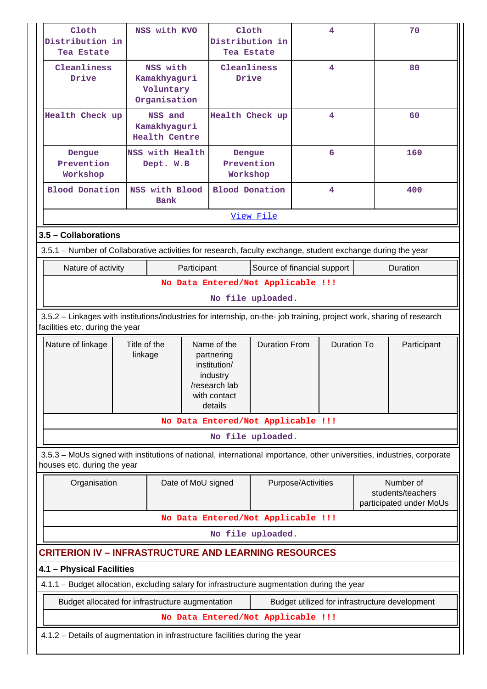| Cloth<br>NSS with KVO<br>Distribution in<br>Tea Estate                                                                                                   |                              | Cloth<br>Distribution in<br>Tea Estate                |                                  |                                                                                    | 4                           |                    | 70                 |     |                                                           |  |
|----------------------------------------------------------------------------------------------------------------------------------------------------------|------------------------------|-------------------------------------------------------|----------------------------------|------------------------------------------------------------------------------------|-----------------------------|--------------------|--------------------|-----|-----------------------------------------------------------|--|
| Cleanliness<br>Drive                                                                                                                                     |                              | NSS with<br>Kamakhyaguri<br>Voluntary<br>Organisation |                                  | Cleanliness<br>Drive                                                               |                             |                    | 4                  |     | 80                                                        |  |
| Health Check up                                                                                                                                          |                              | NSS and<br>Kamakhyaguri<br><b>Health Centre</b>       |                                  | Health Check up                                                                    |                             |                    | 4                  |     | 60                                                        |  |
| Dengue<br>Prevention<br>Workshop                                                                                                                         | NSS with Health<br>Dept. W.B |                                                       | Dengue<br>Prevention<br>Workshop |                                                                                    | 6                           |                    |                    | 160 |                                                           |  |
| <b>Blood Donation</b>                                                                                                                                    |                              | NSS with Blood<br><b>Bank</b>                         |                                  | <b>Blood Donation</b>                                                              |                             |                    | 4                  |     | 400                                                       |  |
|                                                                                                                                                          |                              |                                                       |                                  |                                                                                    | View File                   |                    |                    |     |                                                           |  |
| 3.5 - Collaborations                                                                                                                                     |                              |                                                       |                                  |                                                                                    |                             |                    |                    |     |                                                           |  |
| 3.5.1 – Number of Collaborative activities for research, faculty exchange, student exchange during the year                                              |                              |                                                       |                                  |                                                                                    |                             |                    |                    |     |                                                           |  |
| Nature of activity                                                                                                                                       |                              |                                                       | Participant                      |                                                                                    | Source of financial support |                    |                    |     | Duration                                                  |  |
|                                                                                                                                                          |                              |                                                       |                                  | No Data Entered/Not Applicable !!!                                                 |                             |                    |                    |     |                                                           |  |
|                                                                                                                                                          | No file uploaded.            |                                                       |                                  |                                                                                    |                             |                    |                    |     |                                                           |  |
| 3.5.2 - Linkages with institutions/industries for internship, on-the- job training, project work, sharing of research<br>facilities etc. during the year |                              |                                                       |                                  |                                                                                    |                             |                    |                    |     |                                                           |  |
| Title of the<br>Nature of linkage<br>linkage                                                                                                             |                              |                                                       |                                  | Name of the                                                                        | <b>Duration From</b>        |                    | <b>Duration To</b> |     | Participant                                               |  |
|                                                                                                                                                          |                              |                                                       |                                  | partnering<br>institution/<br>industry<br>/research lab<br>with contact<br>details |                             |                    |                    |     |                                                           |  |
|                                                                                                                                                          |                              |                                                       |                                  | No Data Entered/Not Applicable !!!                                                 |                             |                    |                    |     |                                                           |  |
|                                                                                                                                                          |                              |                                                       |                                  |                                                                                    | No file uploaded.           |                    |                    |     |                                                           |  |
| 3.5.3 - MoUs signed with institutions of national, international importance, other universities, industries, corporate<br>houses etc. during the year    |                              |                                                       |                                  |                                                                                    |                             |                    |                    |     |                                                           |  |
| Organisation                                                                                                                                             |                              |                                                       | Date of MoU signed               |                                                                                    |                             | Purpose/Activities |                    |     | Number of<br>students/teachers<br>participated under MoUs |  |
|                                                                                                                                                          |                              |                                                       |                                  | No Data Entered/Not Applicable !!!                                                 |                             |                    |                    |     |                                                           |  |
|                                                                                                                                                          |                              |                                                       |                                  |                                                                                    | No file uploaded.           |                    |                    |     |                                                           |  |
| <b>CRITERION IV - INFRASTRUCTURE AND LEARNING RESOURCES</b>                                                                                              |                              |                                                       |                                  |                                                                                    |                             |                    |                    |     |                                                           |  |
| 4.1 - Physical Facilities                                                                                                                                |                              |                                                       |                                  |                                                                                    |                             |                    |                    |     |                                                           |  |
| 4.1.1 - Budget allocation, excluding salary for infrastructure augmentation during the year                                                              |                              |                                                       |                                  |                                                                                    |                             |                    |                    |     |                                                           |  |
| Budget allocated for infrastructure augmentation                                                                                                         |                              |                                                       |                                  |                                                                                    |                             |                    |                    |     | Budget utilized for infrastructure development            |  |
|                                                                                                                                                          |                              |                                                       |                                  | No Data Entered/Not Applicable !!!                                                 |                             |                    |                    |     |                                                           |  |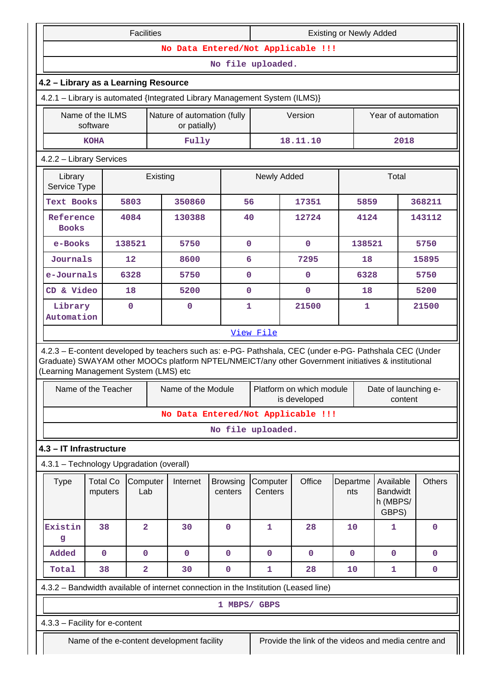|                                                                            |                                      | <b>Facilities</b> |  |                                             |                            | <b>Existing or Newly Added</b>                                             |                                                                                                                                                                                                                |                 |                    |                                                   |               |  |
|----------------------------------------------------------------------------|--------------------------------------|-------------------|--|---------------------------------------------|----------------------------|----------------------------------------------------------------------------|----------------------------------------------------------------------------------------------------------------------------------------------------------------------------------------------------------------|-----------------|--------------------|---------------------------------------------------|---------------|--|
|                                                                            |                                      |                   |  |                                             |                            |                                                                            | No Data Entered/Not Applicable !!!                                                                                                                                                                             |                 |                    |                                                   |               |  |
|                                                                            |                                      |                   |  |                                             | No file uploaded.          |                                                                            |                                                                                                                                                                                                                |                 |                    |                                                   |               |  |
| 4.2 - Library as a Learning Resource                                       |                                      |                   |  |                                             |                            |                                                                            |                                                                                                                                                                                                                |                 |                    |                                                   |               |  |
| 4.2.1 - Library is automated {Integrated Library Management System (ILMS)} |                                      |                   |  |                                             |                            |                                                                            |                                                                                                                                                                                                                |                 |                    |                                                   |               |  |
|                                                                            | Name of the ILMS<br>software         |                   |  | Nature of automation (fully<br>or patially) |                            |                                                                            | Version                                                                                                                                                                                                        |                 | Year of automation |                                                   |               |  |
|                                                                            | Fully<br><b>KOHA</b>                 |                   |  |                                             |                            |                                                                            | 18.11.10                                                                                                                                                                                                       |                 |                    | 2018                                              |               |  |
| 4.2.2 - Library Services                                                   |                                      |                   |  |                                             |                            |                                                                            |                                                                                                                                                                                                                |                 |                    |                                                   |               |  |
| Library                                                                    | Existing<br>Service Type             |                   |  |                                             |                            | Newly Added                                                                |                                                                                                                                                                                                                |                 |                    | Total                                             |               |  |
| <b>Text Books</b>                                                          |                                      | 5803              |  | 350860                                      |                            | 56                                                                         | 17351                                                                                                                                                                                                          |                 | 5859               |                                                   | 368211        |  |
| Reference<br><b>Books</b>                                                  |                                      | 4084              |  | 130388                                      |                            | 40                                                                         | 12724                                                                                                                                                                                                          |                 | 4124               |                                                   | 143112        |  |
| e-Books                                                                    |                                      | 138521            |  | 5750                                        |                            | $\mathbf 0$                                                                | $\mathbf 0$                                                                                                                                                                                                    |                 | 138521             |                                                   | 5750          |  |
| Journals                                                                   |                                      | 12                |  | 8600                                        |                            | 6                                                                          | 7295                                                                                                                                                                                                           |                 | 18                 |                                                   | 15895         |  |
| e-Journals                                                                 |                                      | 6328              |  | 5750                                        |                            | $\mathbf 0$                                                                | $\mathbf 0$                                                                                                                                                                                                    |                 | 6328               |                                                   | 5750          |  |
| CD & Video                                                                 |                                      | 18                |  | 5200                                        |                            | $\mathbf 0$                                                                | $\mathbf 0$                                                                                                                                                                                                    |                 | 18                 |                                                   | 5200          |  |
|                                                                            | Library<br>$\mathbf 0$<br>Automation |                   |  | 0                                           | $\mathbf{1}$               | 21500                                                                      |                                                                                                                                                                                                                |                 | 1                  |                                                   | 21500         |  |
|                                                                            |                                      |                   |  |                                             |                            | View File                                                                  |                                                                                                                                                                                                                |                 |                    |                                                   |               |  |
| (Learning Management System (LMS) etc                                      |                                      |                   |  |                                             |                            |                                                                            | 4.2.3 - E-content developed by teachers such as: e-PG- Pathshala, CEC (under e-PG- Pathshala CEC (Under<br>Graduate) SWAYAM other MOOCs platform NPTEL/NMEICT/any other Government initiatives & institutional |                 |                    |                                                   |               |  |
|                                                                            | Name of the Teacher                  |                   |  | Name of the Module                          |                            | Platform on which module   Date of launching e-<br>is developed<br>content |                                                                                                                                                                                                                |                 |                    |                                                   |               |  |
|                                                                            |                                      |                   |  |                                             |                            |                                                                            | No Data Entered/Not Applicable !!!                                                                                                                                                                             |                 |                    |                                                   |               |  |
|                                                                            |                                      |                   |  |                                             | No file uploaded.          |                                                                            |                                                                                                                                                                                                                |                 |                    |                                                   |               |  |
| 4.3 - IT Infrastructure                                                    |                                      |                   |  |                                             |                            |                                                                            |                                                                                                                                                                                                                |                 |                    |                                                   |               |  |
| 4.3.1 - Technology Upgradation (overall)                                   |                                      |                   |  |                                             |                            |                                                                            |                                                                                                                                                                                                                |                 |                    |                                                   |               |  |
| <b>Type</b>                                                                | <b>Total Co</b><br>mputers           | Computer<br>Lab   |  | Internet                                    | <b>Browsing</b><br>centers | Computer<br>Centers                                                        | Office                                                                                                                                                                                                         | Departme<br>nts |                    | Available<br><b>Bandwidt</b><br>h (MBPS/<br>GBPS) | <b>Others</b> |  |
| Existin<br>g                                                               | 38                                   | $\overline{a}$    |  | 30                                          | $\mathbf 0$                | 1                                                                          | 28                                                                                                                                                                                                             | 10              |                    | 1                                                 | $\mathbf 0$   |  |
| Added                                                                      | $\mathbf 0$                          | $\mathbf{O}$      |  | $\mathbf 0$                                 | $\mathbf{0}$               | $\mathbf{O}$                                                               | 0                                                                                                                                                                                                              | $\mathbf{0}$    |                    | $\mathbf{0}$                                      | $\mathbf 0$   |  |
| Total                                                                      | 38                                   | $\overline{a}$    |  | 30                                          | $\mathbf 0$                | 1                                                                          | 28                                                                                                                                                                                                             | 10              |                    | 1                                                 | $\mathbf 0$   |  |
|                                                                            |                                      |                   |  |                                             |                            |                                                                            | 4.3.2 - Bandwidth available of internet connection in the Institution (Leased line)                                                                                                                            |                 |                    |                                                   |               |  |
|                                                                            |                                      |                   |  |                                             |                            | 1 MBPS/ GBPS                                                               |                                                                                                                                                                                                                |                 |                    |                                                   |               |  |
| 4.3.3 - Facility for e-content                                             |                                      |                   |  |                                             |                            |                                                                            |                                                                                                                                                                                                                |                 |                    |                                                   |               |  |
|                                                                            |                                      |                   |  | Name of the e-content development facility  |                            |                                                                            | Provide the link of the videos and media centre and                                                                                                                                                            |                 |                    |                                                   |               |  |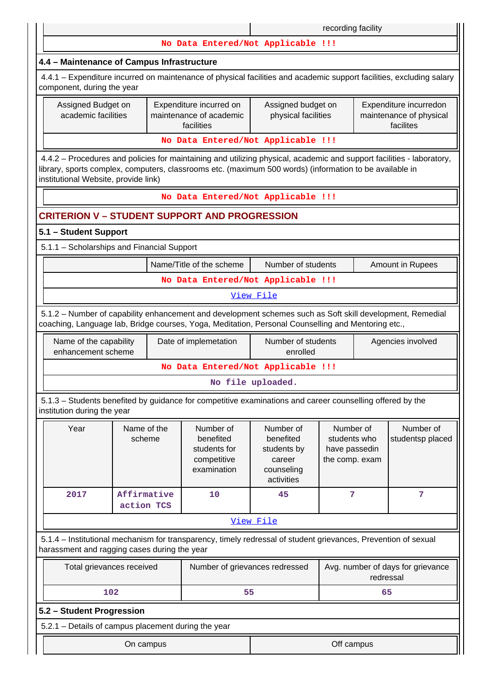|                                                                                                                                                                                                                                                                          |                                    |                                                                      |                                                                             | recording facility                                           |           |                                                                |  |  |  |  |
|--------------------------------------------------------------------------------------------------------------------------------------------------------------------------------------------------------------------------------------------------------------------------|------------------------------------|----------------------------------------------------------------------|-----------------------------------------------------------------------------|--------------------------------------------------------------|-----------|----------------------------------------------------------------|--|--|--|--|
|                                                                                                                                                                                                                                                                          |                                    | No Data Entered/Not Applicable !!!                                   |                                                                             |                                                              |           |                                                                |  |  |  |  |
| 4.4 - Maintenance of Campus Infrastructure                                                                                                                                                                                                                               |                                    |                                                                      |                                                                             |                                                              |           |                                                                |  |  |  |  |
| 4.4.1 – Expenditure incurred on maintenance of physical facilities and academic support facilities, excluding salary<br>component, during the year                                                                                                                       |                                    |                                                                      |                                                                             |                                                              |           |                                                                |  |  |  |  |
| Assigned Budget on<br>academic facilities                                                                                                                                                                                                                                |                                    | Expenditure incurred on<br>maintenance of academic<br>facilities     | Assigned budget on<br>physical facilities                                   |                                                              |           | Expenditure incurredon<br>maintenance of physical<br>facilites |  |  |  |  |
|                                                                                                                                                                                                                                                                          |                                    | No Data Entered/Not Applicable !!!                                   |                                                                             |                                                              |           |                                                                |  |  |  |  |
| 4.4.2 - Procedures and policies for maintaining and utilizing physical, academic and support facilities - laboratory,<br>library, sports complex, computers, classrooms etc. (maximum 500 words) (information to be available in<br>institutional Website, provide link) |                                    |                                                                      |                                                                             |                                                              |           |                                                                |  |  |  |  |
|                                                                                                                                                                                                                                                                          | No Data Entered/Not Applicable !!! |                                                                      |                                                                             |                                                              |           |                                                                |  |  |  |  |
| <b>CRITERION V - STUDENT SUPPORT AND PROGRESSION</b>                                                                                                                                                                                                                     |                                    |                                                                      |                                                                             |                                                              |           |                                                                |  |  |  |  |
| 5.1 - Student Support                                                                                                                                                                                                                                                    |                                    |                                                                      |                                                                             |                                                              |           |                                                                |  |  |  |  |
| 5.1.1 - Scholarships and Financial Support                                                                                                                                                                                                                               |                                    |                                                                      |                                                                             |                                                              |           |                                                                |  |  |  |  |
| Name/Title of the scheme<br>Number of students<br>Amount in Rupees                                                                                                                                                                                                       |                                    |                                                                      |                                                                             |                                                              |           |                                                                |  |  |  |  |
| No Data Entered/Not Applicable !!!                                                                                                                                                                                                                                       |                                    |                                                                      |                                                                             |                                                              |           |                                                                |  |  |  |  |
|                                                                                                                                                                                                                                                                          |                                    |                                                                      | View File                                                                   |                                                              |           |                                                                |  |  |  |  |
| 5.1.2 - Number of capability enhancement and development schemes such as Soft skill development, Remedial<br>coaching, Language lab, Bridge courses, Yoga, Meditation, Personal Counselling and Mentoring etc.,                                                          |                                    |                                                                      |                                                                             |                                                              |           |                                                                |  |  |  |  |
| Name of the capability<br>enhancement scheme                                                                                                                                                                                                                             |                                    | Date of implemetation                                                | Number of students<br>enrolled                                              |                                                              |           | Agencies involved                                              |  |  |  |  |
|                                                                                                                                                                                                                                                                          |                                    | No Data Entered/Not Applicable !!!                                   |                                                                             |                                                              |           |                                                                |  |  |  |  |
|                                                                                                                                                                                                                                                                          |                                    |                                                                      | No file uploaded.                                                           |                                                              |           |                                                                |  |  |  |  |
| 5.1.3 – Students benefited by guidance for competitive examinations and career counselling offered by the<br>institution during the year                                                                                                                                 |                                    |                                                                      |                                                                             |                                                              |           |                                                                |  |  |  |  |
| Year                                                                                                                                                                                                                                                                     | Name of the<br>scheme              | Number of<br>benefited<br>students for<br>competitive<br>examination | Number of<br>benefited<br>students by<br>career<br>counseling<br>activities | Number of<br>students who<br>have passedin<br>the comp. exam |           | Number of<br>studentsp placed                                  |  |  |  |  |
| 2017                                                                                                                                                                                                                                                                     | Affirmative<br>action TCS          | 10                                                                   | 45                                                                          | 7                                                            |           | 7                                                              |  |  |  |  |
|                                                                                                                                                                                                                                                                          |                                    |                                                                      | View File                                                                   |                                                              |           |                                                                |  |  |  |  |
| 5.1.4 – Institutional mechanism for transparency, timely redressal of student grievances, Prevention of sexual<br>harassment and ragging cases during the year                                                                                                           |                                    |                                                                      |                                                                             |                                                              |           |                                                                |  |  |  |  |
| Total grievances received                                                                                                                                                                                                                                                |                                    | Number of grievances redressed                                       |                                                                             |                                                              | redressal | Avg. number of days for grievance                              |  |  |  |  |
| 102                                                                                                                                                                                                                                                                      |                                    | 55                                                                   |                                                                             |                                                              | 65        |                                                                |  |  |  |  |
| 5.2 - Student Progression                                                                                                                                                                                                                                                |                                    |                                                                      |                                                                             |                                                              |           |                                                                |  |  |  |  |
| 5.2.1 - Details of campus placement during the year                                                                                                                                                                                                                      |                                    |                                                                      |                                                                             |                                                              |           |                                                                |  |  |  |  |
|                                                                                                                                                                                                                                                                          | On campus                          |                                                                      |                                                                             | Off campus                                                   |           |                                                                |  |  |  |  |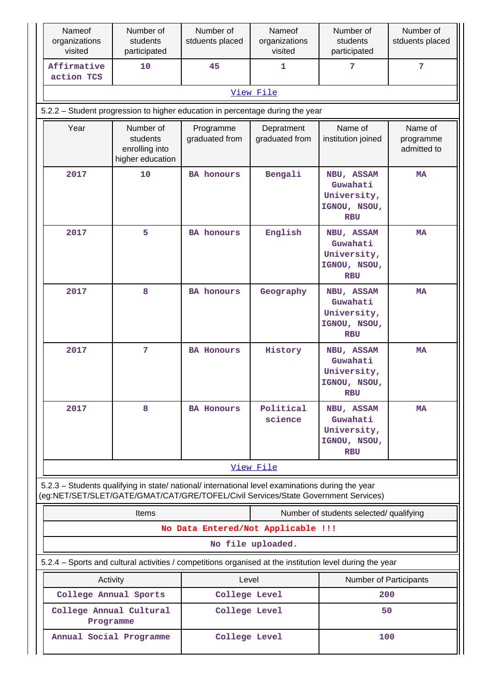| Nameof<br>organizations<br>visited   | Number of<br>students<br>participated                                                                                                                                                  | Number of<br>stduents placed       | Nameof<br>organizations<br>visited | Number of<br>students<br>participated                               | Number of<br>stduents placed        |
|--------------------------------------|----------------------------------------------------------------------------------------------------------------------------------------------------------------------------------------|------------------------------------|------------------------------------|---------------------------------------------------------------------|-------------------------------------|
| Affirmative<br>action TCS            | 10                                                                                                                                                                                     | 45                                 | 1                                  | 7                                                                   | $\overline{7}$                      |
|                                      |                                                                                                                                                                                        |                                    | View File                          |                                                                     |                                     |
|                                      | 5.2.2 - Student progression to higher education in percentage during the year                                                                                                          |                                    |                                    |                                                                     |                                     |
| Year                                 | Number of<br>students<br>enrolling into<br>higher education                                                                                                                            | Programme<br>graduated from        | Depratment<br>graduated from       | Name of<br>institution joined                                       | Name of<br>programme<br>admitted to |
| 2017                                 | 10                                                                                                                                                                                     | <b>BA</b> honours                  | Bengali                            | NBU, ASSAM<br>Guwahati<br>University,<br>IGNOU, NSOU,<br><b>RBU</b> | <b>MA</b>                           |
| 2017                                 | 5                                                                                                                                                                                      | <b>BA</b> honours                  | English                            | NBU, ASSAM<br>Guwahati<br>University,<br>IGNOU, NSOU,<br><b>RBU</b> | <b>MA</b>                           |
| 2017                                 | 8                                                                                                                                                                                      | <b>BA</b> honours                  | Geography                          | NBU, ASSAM<br>Guwahati<br>University,<br>IGNOU, NSOU,<br><b>RBU</b> | <b>MA</b>                           |
| 2017                                 | 7                                                                                                                                                                                      | <b>BA Honours</b>                  | History                            | NBU, ASSAM<br>Guwahati<br>University,<br>IGNOU, NSOU,<br><b>RBU</b> | MA                                  |
| 2017                                 | 8                                                                                                                                                                                      | <b>BA Honours</b>                  | Political<br>science               | NBU, ASSAM<br>Guwahati<br>University,<br>IGNOU, NSOU,<br><b>RBU</b> | MA                                  |
|                                      |                                                                                                                                                                                        |                                    | View File                          |                                                                     |                                     |
|                                      | 5.2.3 - Students qualifying in state/ national/ international level examinations during the year<br>(eg:NET/SET/SLET/GATE/GMAT/CAT/GRE/TOFEL/Civil Services/State Government Services) |                                    |                                    |                                                                     |                                     |
|                                      | <b>Items</b>                                                                                                                                                                           |                                    |                                    | Number of students selected/ qualifying                             |                                     |
|                                      |                                                                                                                                                                                        | No Data Entered/Not Applicable !!! |                                    |                                                                     |                                     |
|                                      |                                                                                                                                                                                        |                                    | No file uploaded.                  |                                                                     |                                     |
|                                      | 5.2.4 – Sports and cultural activities / competitions organised at the institution level during the year                                                                               |                                    |                                    |                                                                     |                                     |
| Activity                             |                                                                                                                                                                                        | Level                              |                                    | Number of Participants                                              |                                     |
| College Annual Sports                |                                                                                                                                                                                        | College Level                      |                                    | 200                                                                 |                                     |
| College Annual Cultural<br>Programme |                                                                                                                                                                                        | College Level                      |                                    | 50                                                                  |                                     |
| Annual Social Programme              |                                                                                                                                                                                        | College Level                      |                                    | 100                                                                 |                                     |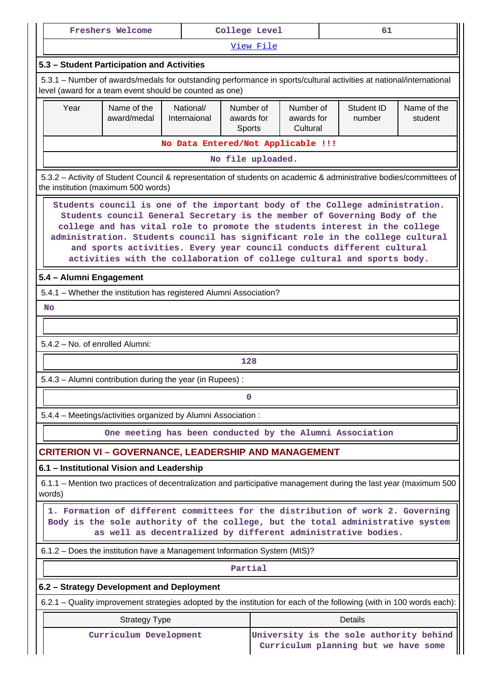|                                                                                                                                                                                                                                                                                                                                                                                                                                                                             | <b>Freshers Welcome</b>                                                                                                                                                                                                          |                                                          | College Level                     |                                     |  | 61                                   |                                         |  |  |  |
|-----------------------------------------------------------------------------------------------------------------------------------------------------------------------------------------------------------------------------------------------------------------------------------------------------------------------------------------------------------------------------------------------------------------------------------------------------------------------------|----------------------------------------------------------------------------------------------------------------------------------------------------------------------------------------------------------------------------------|----------------------------------------------------------|-----------------------------------|-------------------------------------|--|--------------------------------------|-----------------------------------------|--|--|--|
|                                                                                                                                                                                                                                                                                                                                                                                                                                                                             |                                                                                                                                                                                                                                  |                                                          | View File                         |                                     |  |                                      |                                         |  |  |  |
| 5.3 - Student Participation and Activities                                                                                                                                                                                                                                                                                                                                                                                                                                  |                                                                                                                                                                                                                                  |                                                          |                                   |                                     |  |                                      |                                         |  |  |  |
|                                                                                                                                                                                                                                                                                                                                                                                                                                                                             | 5.3.1 – Number of awards/medals for outstanding performance in sports/cultural activities at national/international<br>level (award for a team event should be counted as one)                                                   |                                                          |                                   |                                     |  |                                      |                                         |  |  |  |
| Year                                                                                                                                                                                                                                                                                                                                                                                                                                                                        | Name of the<br>award/medal                                                                                                                                                                                                       | National/<br>Internaional                                | Number of<br>awards for<br>Sports | Number of<br>awards for<br>Cultural |  | Student ID<br>number                 | Name of the<br>student                  |  |  |  |
|                                                                                                                                                                                                                                                                                                                                                                                                                                                                             |                                                                                                                                                                                                                                  | No Data Entered/Not Applicable !!!                       |                                   |                                     |  |                                      |                                         |  |  |  |
|                                                                                                                                                                                                                                                                                                                                                                                                                                                                             |                                                                                                                                                                                                                                  |                                                          | No file uploaded.                 |                                     |  |                                      |                                         |  |  |  |
| 5.3.2 - Activity of Student Council & representation of students on academic & administrative bodies/committees of<br>the institution (maximum 500 words)                                                                                                                                                                                                                                                                                                                   |                                                                                                                                                                                                                                  |                                                          |                                   |                                     |  |                                      |                                         |  |  |  |
| Students council is one of the important body of the College administration.<br>Students council General Secretary is the member of Governing Body of the<br>college and has vital role to promote the students interest in the college<br>administration. Students council has significant role in the college cultural<br>and sports activities. Every year council conducts different cultural<br>activities with the collaboration of college cultural and sports body. |                                                                                                                                                                                                                                  |                                                          |                                   |                                     |  |                                      |                                         |  |  |  |
| 5.4 - Alumni Engagement                                                                                                                                                                                                                                                                                                                                                                                                                                                     |                                                                                                                                                                                                                                  |                                                          |                                   |                                     |  |                                      |                                         |  |  |  |
| 5.4.1 - Whether the institution has registered Alumni Association?                                                                                                                                                                                                                                                                                                                                                                                                          |                                                                                                                                                                                                                                  |                                                          |                                   |                                     |  |                                      |                                         |  |  |  |
| <b>No</b>                                                                                                                                                                                                                                                                                                                                                                                                                                                                   |                                                                                                                                                                                                                                  |                                                          |                                   |                                     |  |                                      |                                         |  |  |  |
|                                                                                                                                                                                                                                                                                                                                                                                                                                                                             |                                                                                                                                                                                                                                  |                                                          |                                   |                                     |  |                                      |                                         |  |  |  |
| 5.4.2 - No. of enrolled Alumni:                                                                                                                                                                                                                                                                                                                                                                                                                                             |                                                                                                                                                                                                                                  |                                                          |                                   |                                     |  |                                      |                                         |  |  |  |
|                                                                                                                                                                                                                                                                                                                                                                                                                                                                             |                                                                                                                                                                                                                                  |                                                          | 128                               |                                     |  |                                      |                                         |  |  |  |
|                                                                                                                                                                                                                                                                                                                                                                                                                                                                             | 5.4.3 - Alumni contribution during the year (in Rupees):                                                                                                                                                                         |                                                          |                                   |                                     |  |                                      |                                         |  |  |  |
|                                                                                                                                                                                                                                                                                                                                                                                                                                                                             |                                                                                                                                                                                                                                  |                                                          | 0                                 |                                     |  |                                      |                                         |  |  |  |
|                                                                                                                                                                                                                                                                                                                                                                                                                                                                             | 5.4.4 - Meetings/activities organized by Alumni Association :                                                                                                                                                                    |                                                          |                                   |                                     |  |                                      |                                         |  |  |  |
|                                                                                                                                                                                                                                                                                                                                                                                                                                                                             |                                                                                                                                                                                                                                  | One meeting has been conducted by the Alumni Association |                                   |                                     |  |                                      |                                         |  |  |  |
|                                                                                                                                                                                                                                                                                                                                                                                                                                                                             | <b>CRITERION VI - GOVERNANCE, LEADERSHIP AND MANAGEMENT</b>                                                                                                                                                                      |                                                          |                                   |                                     |  |                                      |                                         |  |  |  |
|                                                                                                                                                                                                                                                                                                                                                                                                                                                                             | 6.1 - Institutional Vision and Leadership                                                                                                                                                                                        |                                                          |                                   |                                     |  |                                      |                                         |  |  |  |
| words)                                                                                                                                                                                                                                                                                                                                                                                                                                                                      | 6.1.1 – Mention two practices of decentralization and participative management during the last year (maximum 500                                                                                                                 |                                                          |                                   |                                     |  |                                      |                                         |  |  |  |
|                                                                                                                                                                                                                                                                                                                                                                                                                                                                             | 1. Formation of different committees for the distribution of work 2. Governing<br>Body is the sole authority of the college, but the total administrative system<br>as well as decentralized by different administrative bodies. |                                                          |                                   |                                     |  |                                      |                                         |  |  |  |
|                                                                                                                                                                                                                                                                                                                                                                                                                                                                             | 6.1.2 - Does the institution have a Management Information System (MIS)?                                                                                                                                                         |                                                          |                                   |                                     |  |                                      |                                         |  |  |  |
|                                                                                                                                                                                                                                                                                                                                                                                                                                                                             |                                                                                                                                                                                                                                  |                                                          | Partial                           |                                     |  |                                      |                                         |  |  |  |
|                                                                                                                                                                                                                                                                                                                                                                                                                                                                             | 6.2 - Strategy Development and Deployment                                                                                                                                                                                        |                                                          |                                   |                                     |  |                                      |                                         |  |  |  |
|                                                                                                                                                                                                                                                                                                                                                                                                                                                                             | 6.2.1 – Quality improvement strategies adopted by the institution for each of the following (with in 100 words each):                                                                                                            |                                                          |                                   |                                     |  |                                      |                                         |  |  |  |
|                                                                                                                                                                                                                                                                                                                                                                                                                                                                             | <b>Strategy Type</b>                                                                                                                                                                                                             |                                                          |                                   |                                     |  | <b>Details</b>                       |                                         |  |  |  |
|                                                                                                                                                                                                                                                                                                                                                                                                                                                                             | Curriculum Development                                                                                                                                                                                                           |                                                          |                                   |                                     |  | Curriculum planning but we have some | University is the sole authority behind |  |  |  |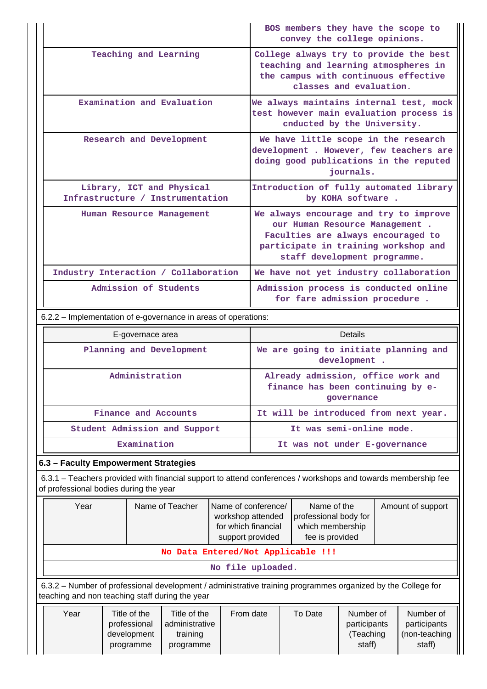|                                                               | BOS members they have the scope to<br>convey the college opinions.                                                                                                                     |  |  |  |  |  |
|---------------------------------------------------------------|----------------------------------------------------------------------------------------------------------------------------------------------------------------------------------------|--|--|--|--|--|
| Teaching and Learning                                         | College always try to provide the best<br>teaching and learning atmospheres in<br>the campus with continuous effective<br>classes and evaluation.                                      |  |  |  |  |  |
| Examination and Evaluation                                    | We always maintains internal test, mock<br>test however main evaluation process is<br>cnducted by the University.                                                                      |  |  |  |  |  |
| Research and Development                                      | We have little scope in the research<br>development . However, few teachers are<br>doing good publications in the reputed<br>journals.                                                 |  |  |  |  |  |
| Library, ICT and Physical<br>Infrastructure / Instrumentation | Introduction of fully automated library<br>by KOHA software.                                                                                                                           |  |  |  |  |  |
| Human Resource Management                                     | We always encourage and try to improve<br>our Human Resource Management.<br>Faculties are always encouraged to<br>participate in training workshop and<br>staff development programme. |  |  |  |  |  |
| Industry Interaction / Collaboration                          | We have not yet industry collaboration                                                                                                                                                 |  |  |  |  |  |
| Admission of Students                                         | Admission process is conducted online<br>for fare admission procedure.                                                                                                                 |  |  |  |  |  |

6.2.2 – Implementation of e-governance in areas of operations:

| E-governace area              | Details                                                                               |
|-------------------------------|---------------------------------------------------------------------------------------|
| Planning and Development      | We are going to initiate planning and<br>development.                                 |
| Administration                | Already admission, office work and<br>finance has been continuing by e-<br>governance |
| Finance and Accounts          | It will be introduced from next year.                                                 |
| Student Admission and Support | It was semi-online mode.                                                              |
| Examination                   | It was not under E-governance                                                         |

# **6.3 – Faculty Empowerment Strategies**

 6.3.1 – Teachers provided with financial support to attend conferences / workshops and towards membership fee of professional bodies during the year

| Year                                                                                                                                                            | Name of Teacher | Name of conference/<br>workshop attended<br>for which financial<br>support provided | Name of the<br>professional body for<br>which membership<br>fee is provided | Amount of support |  |  |  |  |  |  |
|-----------------------------------------------------------------------------------------------------------------------------------------------------------------|-----------------|-------------------------------------------------------------------------------------|-----------------------------------------------------------------------------|-------------------|--|--|--|--|--|--|
| No Data Entered/Not Applicable !!!                                                                                                                              |                 |                                                                                     |                                                                             |                   |  |  |  |  |  |  |
|                                                                                                                                                                 |                 | No file uploaded.                                                                   |                                                                             |                   |  |  |  |  |  |  |
| 6.3.2 – Number of professional development / administrative training programmes organized by the College for<br>teaching and non teaching staff during the year |                 |                                                                                     |                                                                             |                   |  |  |  |  |  |  |

| Year | Title of the | Title of the     | From date | To Date | Number of    | Number of     |
|------|--------------|------------------|-----------|---------|--------------|---------------|
|      | professional | l administrative |           |         | participants | participants  |
|      | development  | training         |           |         | Teaching     | (non-teaching |
|      | programme    | programme        |           |         | staff)       | staff)        |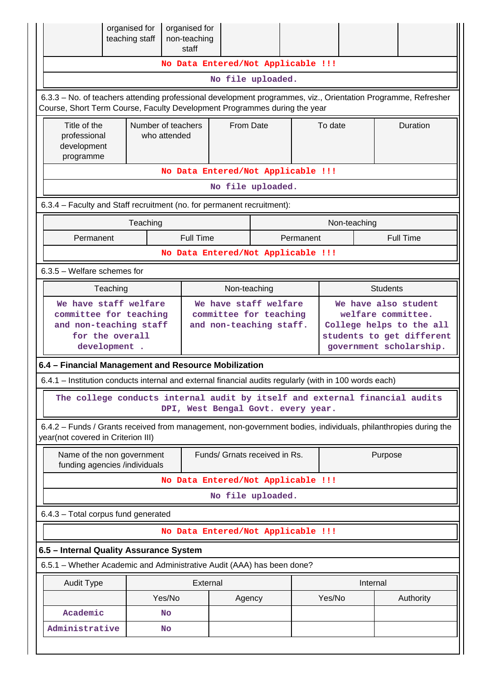|                                                                                                                                                                                            | organised for<br>teaching staff                                                              |              | organised for<br>non-teaching<br>staff |                               |                                                                            |  |         |                                                                                                                                |                 |                 |
|--------------------------------------------------------------------------------------------------------------------------------------------------------------------------------------------|----------------------------------------------------------------------------------------------|--------------|----------------------------------------|-------------------------------|----------------------------------------------------------------------------|--|---------|--------------------------------------------------------------------------------------------------------------------------------|-----------------|-----------------|
|                                                                                                                                                                                            |                                                                                              |              | No Data Entered/Not Applicable !!!     |                               |                                                                            |  |         |                                                                                                                                |                 |                 |
|                                                                                                                                                                                            |                                                                                              |              |                                        | No file uploaded.             |                                                                            |  |         |                                                                                                                                |                 |                 |
| 6.3.3 - No. of teachers attending professional development programmes, viz., Orientation Programme, Refresher<br>Course, Short Term Course, Faculty Development Programmes during the year |                                                                                              |              |                                        |                               |                                                                            |  |         |                                                                                                                                |                 |                 |
| Title of the<br>professional<br>development<br>programme                                                                                                                                   |                                                                                              | who attended | Number of teachers                     | From Date                     |                                                                            |  | To date |                                                                                                                                |                 | <b>Duration</b> |
|                                                                                                                                                                                            |                                                                                              |              | No Data Entered/Not Applicable !!!     |                               |                                                                            |  |         |                                                                                                                                |                 |                 |
|                                                                                                                                                                                            |                                                                                              |              |                                        | No file uploaded.             |                                                                            |  |         |                                                                                                                                |                 |                 |
| 6.3.4 - Faculty and Staff recruitment (no. for permanent recruitment):                                                                                                                     |                                                                                              |              |                                        |                               |                                                                            |  |         |                                                                                                                                |                 |                 |
|                                                                                                                                                                                            | Teaching<br>Non-teaching                                                                     |              |                                        |                               |                                                                            |  |         |                                                                                                                                |                 |                 |
|                                                                                                                                                                                            | <b>Full Time</b><br>Permanent<br><b>Full Time</b><br>Permanent                               |              |                                        |                               |                                                                            |  |         |                                                                                                                                |                 |                 |
| No Data Entered/Not Applicable !!!                                                                                                                                                         |                                                                                              |              |                                        |                               |                                                                            |  |         |                                                                                                                                |                 |                 |
| $6.3.5$ – Welfare schemes for                                                                                                                                                              |                                                                                              |              |                                        |                               |                                                                            |  |         |                                                                                                                                |                 |                 |
|                                                                                                                                                                                            | Teaching                                                                                     |              |                                        | Non-teaching                  |                                                                            |  |         |                                                                                                                                | <b>Students</b> |                 |
| development .                                                                                                                                                                              | We have staff welfare<br>committee for teaching<br>and non-teaching staff<br>for the overall |              |                                        |                               | We have staff welfare<br>committee for teaching<br>and non-teaching staff. |  |         | We have also student<br>welfare committee.<br>College helps to the all<br>students to get different<br>government scholarship. |                 |                 |
| 6.4 - Financial Management and Resource Mobilization                                                                                                                                       |                                                                                              |              |                                        |                               |                                                                            |  |         |                                                                                                                                |                 |                 |
| 6.4.1 - Institution conducts internal and external financial audits regularly (with in 100 words each)                                                                                     |                                                                                              |              |                                        |                               |                                                                            |  |         |                                                                                                                                |                 |                 |
| The college conducts internal audit by itself and external financial audits                                                                                                                |                                                                                              |              | DPI, West Bengal Govt. every year.     |                               |                                                                            |  |         |                                                                                                                                |                 |                 |
| 6.4.2 - Funds / Grants received from management, non-government bodies, individuals, philanthropies during the<br>year(not covered in Criterion III)                                       |                                                                                              |              |                                        |                               |                                                                            |  |         |                                                                                                                                |                 |                 |
| Name of the non government<br>funding agencies /individuals                                                                                                                                |                                                                                              |              |                                        | Funds/ Grnats received in Rs. |                                                                            |  |         |                                                                                                                                | Purpose         |                 |
|                                                                                                                                                                                            |                                                                                              |              | No Data Entered/Not Applicable !!!     |                               |                                                                            |  |         |                                                                                                                                |                 |                 |
|                                                                                                                                                                                            |                                                                                              |              |                                        | No file uploaded.             |                                                                            |  |         |                                                                                                                                |                 |                 |
| 6.4.3 - Total corpus fund generated                                                                                                                                                        |                                                                                              |              |                                        |                               |                                                                            |  |         |                                                                                                                                |                 |                 |
|                                                                                                                                                                                            |                                                                                              |              | No Data Entered/Not Applicable !!!     |                               |                                                                            |  |         |                                                                                                                                |                 |                 |
| 6.5 - Internal Quality Assurance System                                                                                                                                                    |                                                                                              |              |                                        |                               |                                                                            |  |         |                                                                                                                                |                 |                 |
| 6.5.1 – Whether Academic and Administrative Audit (AAA) has been done?                                                                                                                     |                                                                                              |              |                                        |                               |                                                                            |  |         |                                                                                                                                |                 |                 |
| <b>Audit Type</b>                                                                                                                                                                          |                                                                                              |              | External                               |                               |                                                                            |  |         | Internal                                                                                                                       |                 |                 |
|                                                                                                                                                                                            |                                                                                              | Yes/No       |                                        | Agency                        |                                                                            |  | Yes/No  |                                                                                                                                |                 | Authority       |
| Academic                                                                                                                                                                                   |                                                                                              | No           |                                        |                               |                                                                            |  |         |                                                                                                                                |                 |                 |
| Administrative                                                                                                                                                                             |                                                                                              | <b>No</b>    |                                        |                               |                                                                            |  |         |                                                                                                                                |                 |                 |
|                                                                                                                                                                                            |                                                                                              |              |                                        |                               |                                                                            |  |         |                                                                                                                                |                 |                 |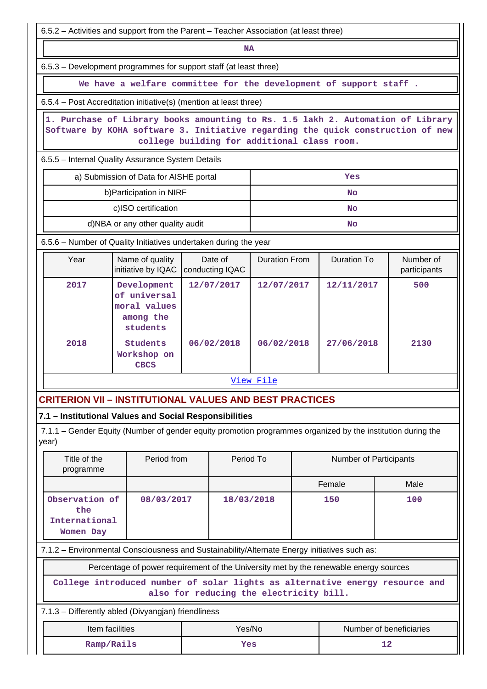| 6.5.2 – Activities and support from the Parent – Teacher Association (at least three)                                                                                                                             |                                                                                       |                                         |                      |  |                               |                                                                              |  |  |  |  |
|-------------------------------------------------------------------------------------------------------------------------------------------------------------------------------------------------------------------|---------------------------------------------------------------------------------------|-----------------------------------------|----------------------|--|-------------------------------|------------------------------------------------------------------------------|--|--|--|--|
|                                                                                                                                                                                                                   |                                                                                       | <b>NA</b>                               |                      |  |                               |                                                                              |  |  |  |  |
| 6.5.3 – Development programmes for support staff (at least three)                                                                                                                                                 |                                                                                       |                                         |                      |  |                               |                                                                              |  |  |  |  |
|                                                                                                                                                                                                                   | We have a welfare committee for the development of support staff.                     |                                         |                      |  |                               |                                                                              |  |  |  |  |
| 6.5.4 – Post Accreditation initiative(s) (mention at least three)                                                                                                                                                 |                                                                                       |                                         |                      |  |                               |                                                                              |  |  |  |  |
| 1. Purchase of Library books amounting to Rs. 1.5 lakh 2. Automation of Library<br>Software by KOHA software 3. Initiative regarding the quick construction of new<br>college building for additional class room. |                                                                                       |                                         |                      |  |                               |                                                                              |  |  |  |  |
| 6.5.5 - Internal Quality Assurance System Details                                                                                                                                                                 |                                                                                       |                                         |                      |  |                               |                                                                              |  |  |  |  |
| a) Submission of Data for AISHE portal<br>Yes                                                                                                                                                                     |                                                                                       |                                         |                      |  |                               |                                                                              |  |  |  |  |
|                                                                                                                                                                                                                   | b) Participation in NIRF                                                              |                                         |                      |  | No                            |                                                                              |  |  |  |  |
|                                                                                                                                                                                                                   | c)ISO certification<br>No                                                             |                                         |                      |  |                               |                                                                              |  |  |  |  |
|                                                                                                                                                                                                                   | d)NBA or any other quality audit                                                      |                                         |                      |  | No                            |                                                                              |  |  |  |  |
| 6.5.6 - Number of Quality Initiatives undertaken during the year                                                                                                                                                  |                                                                                       |                                         |                      |  |                               |                                                                              |  |  |  |  |
| Year                                                                                                                                                                                                              | Name of quality<br>initiative by IQAC                                                 | Date of<br>conducting IQAC              | <b>Duration From</b> |  | <b>Duration To</b>            | Number of<br>participants                                                    |  |  |  |  |
| 2017                                                                                                                                                                                                              | Development<br>of universal<br>moral values<br>among the<br>students                  | 12/07/2017                              | 12/07/2017           |  | 12/11/2017                    | 500                                                                          |  |  |  |  |
| 2018                                                                                                                                                                                                              | Students<br>Workshop on<br><b>CBCS</b>                                                | 06/02/2018                              | 06/02/2018           |  | 27/06/2018                    | 2130                                                                         |  |  |  |  |
|                                                                                                                                                                                                                   |                                                                                       |                                         | View File            |  |                               |                                                                              |  |  |  |  |
| <b>CRITERION VII – INSTITUTIONAL VALUES AND BEST PRACTICES</b>                                                                                                                                                    |                                                                                       |                                         |                      |  |                               |                                                                              |  |  |  |  |
| 7.1 - Institutional Values and Social Responsibilities                                                                                                                                                            |                                                                                       |                                         |                      |  |                               |                                                                              |  |  |  |  |
| 7.1.1 – Gender Equity (Number of gender equity promotion programmes organized by the institution during the<br>year)                                                                                              |                                                                                       |                                         |                      |  |                               |                                                                              |  |  |  |  |
| Title of the<br>programme                                                                                                                                                                                         | Period from                                                                           | Period To                               |                      |  | <b>Number of Participants</b> |                                                                              |  |  |  |  |
|                                                                                                                                                                                                                   |                                                                                       |                                         |                      |  | Female                        | Male                                                                         |  |  |  |  |
| Observation of<br>the<br>International<br>Women Day                                                                                                                                                               | 08/03/2017                                                                            | 18/03/2018                              |                      |  | 150                           | 100                                                                          |  |  |  |  |
| 7.1.2 - Environmental Consciousness and Sustainability/Alternate Energy initiatives such as:                                                                                                                      |                                                                                       |                                         |                      |  |                               |                                                                              |  |  |  |  |
|                                                                                                                                                                                                                   | Percentage of power requirement of the University met by the renewable energy sources |                                         |                      |  |                               |                                                                              |  |  |  |  |
|                                                                                                                                                                                                                   |                                                                                       | also for reducing the electricity bill. |                      |  |                               | College introduced number of solar lights as alternative energy resource and |  |  |  |  |
| 7.1.3 - Differently abled (Divyangjan) friendliness                                                                                                                                                               |                                                                                       |                                         |                      |  |                               |                                                                              |  |  |  |  |
| Item facilities                                                                                                                                                                                                   |                                                                                       | Yes/No                                  |                      |  |                               | Number of beneficiaries                                                      |  |  |  |  |
| Ramp/Rails                                                                                                                                                                                                        |                                                                                       | Yes                                     |                      |  |                               | 12                                                                           |  |  |  |  |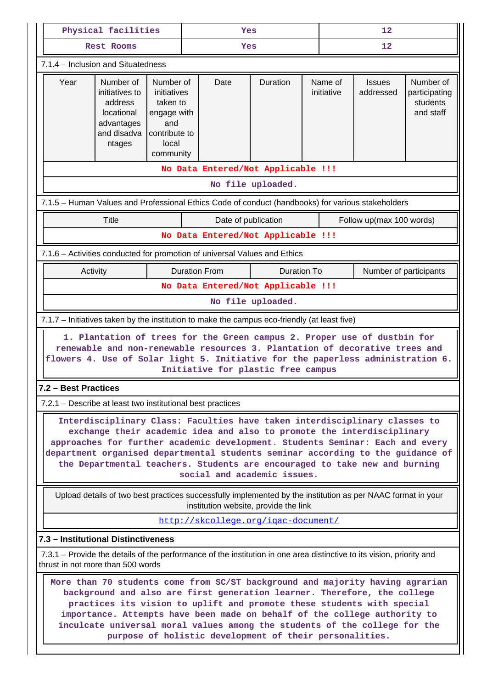|                                                                                                                       | Physical facilities                                                                                                                                                                                                                                                                                                                                                                                                                                                                            |                                                                                                   | Yes |                      |                                                                                                                                                                                                                                                                                                                                                                                                                                       |  | 12                    |                            |                                                     |  |  |
|-----------------------------------------------------------------------------------------------------------------------|------------------------------------------------------------------------------------------------------------------------------------------------------------------------------------------------------------------------------------------------------------------------------------------------------------------------------------------------------------------------------------------------------------------------------------------------------------------------------------------------|---------------------------------------------------------------------------------------------------|-----|----------------------|---------------------------------------------------------------------------------------------------------------------------------------------------------------------------------------------------------------------------------------------------------------------------------------------------------------------------------------------------------------------------------------------------------------------------------------|--|-----------------------|----------------------------|-----------------------------------------------------|--|--|
|                                                                                                                       | <b>Rest Rooms</b>                                                                                                                                                                                                                                                                                                                                                                                                                                                                              |                                                                                                   |     | Yes                  |                                                                                                                                                                                                                                                                                                                                                                                                                                       |  |                       | 12                         |                                                     |  |  |
| 7.1.4 - Inclusion and Situatedness                                                                                    |                                                                                                                                                                                                                                                                                                                                                                                                                                                                                                |                                                                                                   |     |                      |                                                                                                                                                                                                                                                                                                                                                                                                                                       |  |                       |                            |                                                     |  |  |
| Year                                                                                                                  | Number of<br>initiatives to<br>address<br>locational<br>advantages<br>and disadva<br>ntages                                                                                                                                                                                                                                                                                                                                                                                                    | Number of<br>initiatives<br>taken to<br>engage with<br>and<br>contribute to<br>local<br>community |     | Date                 | Duration                                                                                                                                                                                                                                                                                                                                                                                                                              |  | Name of<br>initiative | <b>Issues</b><br>addressed | Number of<br>participating<br>students<br>and staff |  |  |
|                                                                                                                       |                                                                                                                                                                                                                                                                                                                                                                                                                                                                                                |                                                                                                   |     |                      | No Data Entered/Not Applicable !!!                                                                                                                                                                                                                                                                                                                                                                                                    |  |                       |                            |                                                     |  |  |
|                                                                                                                       | No file uploaded.                                                                                                                                                                                                                                                                                                                                                                                                                                                                              |                                                                                                   |     |                      |                                                                                                                                                                                                                                                                                                                                                                                                                                       |  |                       |                            |                                                     |  |  |
| 7.1.5 - Human Values and Professional Ethics Code of conduct (handbooks) for various stakeholders                     |                                                                                                                                                                                                                                                                                                                                                                                                                                                                                                |                                                                                                   |     |                      |                                                                                                                                                                                                                                                                                                                                                                                                                                       |  |                       |                            |                                                     |  |  |
|                                                                                                                       | Title                                                                                                                                                                                                                                                                                                                                                                                                                                                                                          |                                                                                                   |     | Date of publication  |                                                                                                                                                                                                                                                                                                                                                                                                                                       |  |                       | Follow up(max 100 words)   |                                                     |  |  |
|                                                                                                                       | No Data Entered/Not Applicable !!!                                                                                                                                                                                                                                                                                                                                                                                                                                                             |                                                                                                   |     |                      |                                                                                                                                                                                                                                                                                                                                                                                                                                       |  |                       |                            |                                                     |  |  |
| 7.1.6 - Activities conducted for promotion of universal Values and Ethics                                             |                                                                                                                                                                                                                                                                                                                                                                                                                                                                                                |                                                                                                   |     |                      |                                                                                                                                                                                                                                                                                                                                                                                                                                       |  |                       |                            |                                                     |  |  |
| Activity                                                                                                              |                                                                                                                                                                                                                                                                                                                                                                                                                                                                                                |                                                                                                   |     | <b>Duration From</b> | <b>Duration To</b>                                                                                                                                                                                                                                                                                                                                                                                                                    |  |                       | Number of participants     |                                                     |  |  |
|                                                                                                                       | No Data Entered/Not Applicable !!!<br>No file uploaded.                                                                                                                                                                                                                                                                                                                                                                                                                                        |                                                                                                   |     |                      |                                                                                                                                                                                                                                                                                                                                                                                                                                       |  |                       |                            |                                                     |  |  |
| 7.1.7 - Initiatives taken by the institution to make the campus eco-friendly (at least five)                          |                                                                                                                                                                                                                                                                                                                                                                                                                                                                                                |                                                                                                   |     |                      |                                                                                                                                                                                                                                                                                                                                                                                                                                       |  |                       |                            |                                                     |  |  |
|                                                                                                                       |                                                                                                                                                                                                                                                                                                                                                                                                                                                                                                |                                                                                                   |     |                      | 1. Plantation of trees for the Green campus 2. Proper use of dustbin for<br>renewable and non-renewable resources 3. Plantation of decorative trees and<br>flowers 4. Use of Solar light 5. Initiative for the paperless administration 6.<br>Initiative for plastic free campus                                                                                                                                                      |  |                       |                            |                                                     |  |  |
| 7.2 - Best Practices                                                                                                  |                                                                                                                                                                                                                                                                                                                                                                                                                                                                                                |                                                                                                   |     |                      |                                                                                                                                                                                                                                                                                                                                                                                                                                       |  |                       |                            |                                                     |  |  |
| 7.2.1 – Describe at least two institutional best practices                                                            |                                                                                                                                                                                                                                                                                                                                                                                                                                                                                                |                                                                                                   |     |                      |                                                                                                                                                                                                                                                                                                                                                                                                                                       |  |                       |                            |                                                     |  |  |
|                                                                                                                       |                                                                                                                                                                                                                                                                                                                                                                                                                                                                                                |                                                                                                   |     |                      | Interdisciplinary Class: Faculties have taken interdisciplinary classes to<br>exchange their academic idea and also to promote the interdisciplinary<br>approaches for further academic development. Students Seminar: Each and every<br>department organised departmental students seminar according to the guidance of<br>the Departmental teachers. Students are encouraged to take new and burning<br>social and academic issues. |  |                       |                            |                                                     |  |  |
|                                                                                                                       |                                                                                                                                                                                                                                                                                                                                                                                                                                                                                                |                                                                                                   |     |                      | Upload details of two best practices successfully implemented by the institution as per NAAC format in your<br>institution website, provide the link                                                                                                                                                                                                                                                                                  |  |                       |                            |                                                     |  |  |
|                                                                                                                       |                                                                                                                                                                                                                                                                                                                                                                                                                                                                                                |                                                                                                   |     |                      | http://skcollege.org/igac-document/                                                                                                                                                                                                                                                                                                                                                                                                   |  |                       |                            |                                                     |  |  |
| 7.3 - Institutional Distinctiveness                                                                                   |                                                                                                                                                                                                                                                                                                                                                                                                                                                                                                |                                                                                                   |     |                      |                                                                                                                                                                                                                                                                                                                                                                                                                                       |  |                       |                            |                                                     |  |  |
| 7.3.1 – Provide the details of the performance of the institution in one area distinctive to its vision, priority and |                                                                                                                                                                                                                                                                                                                                                                                                                                                                                                |                                                                                                   |     |                      |                                                                                                                                                                                                                                                                                                                                                                                                                                       |  |                       |                            |                                                     |  |  |
|                                                                                                                       | thrust in not more than 500 words<br>More than 70 students come from SC/ST background and majority having agrarian<br>background and also are first generation learner. Therefore, the college<br>practices its vision to uplift and promote these students with special<br>importance. Attempts have been made on behalf of the college authority to<br>inculcate universal moral values among the students of the college for the<br>purpose of holistic development of their personalities. |                                                                                                   |     |                      |                                                                                                                                                                                                                                                                                                                                                                                                                                       |  |                       |                            |                                                     |  |  |